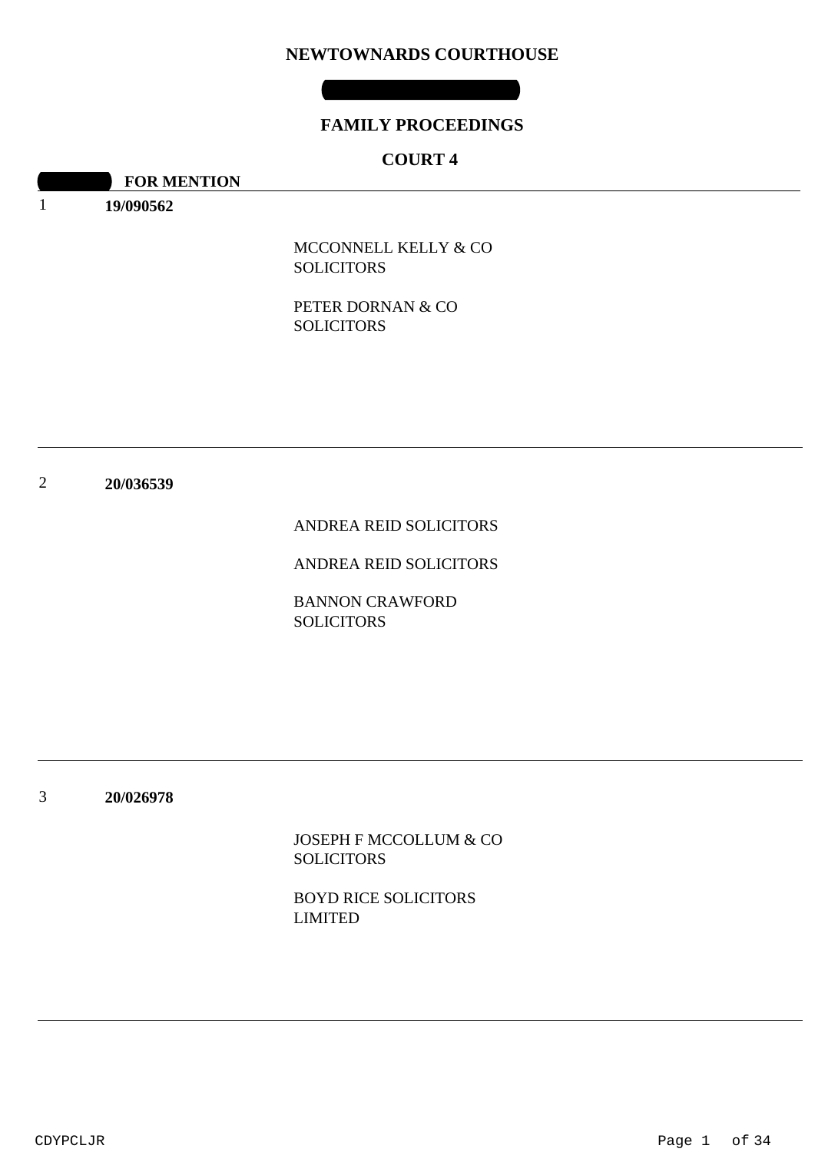### **NEWTOWNARDS COURTHOUSE**

### **FAMILY PROCEEDINGS**

# **COURT 4**

**10:30 FOR MENTION** 

1 **19/090562**

> MCCONNELL KELLY & CO **SOLICITORS**

PETER DORNAN & CO SOLICITORS

2 **20/036539**

ANDREA REID SOLICITORS

ANDREA REID SOLICITORS

BANNON CRAWFORD SOLICITORS

3 **20/026978**

> JOSEPH F MCCOLLUM & CO **SOLICITORS**

BOYD RICE SOLICITORS LIMITED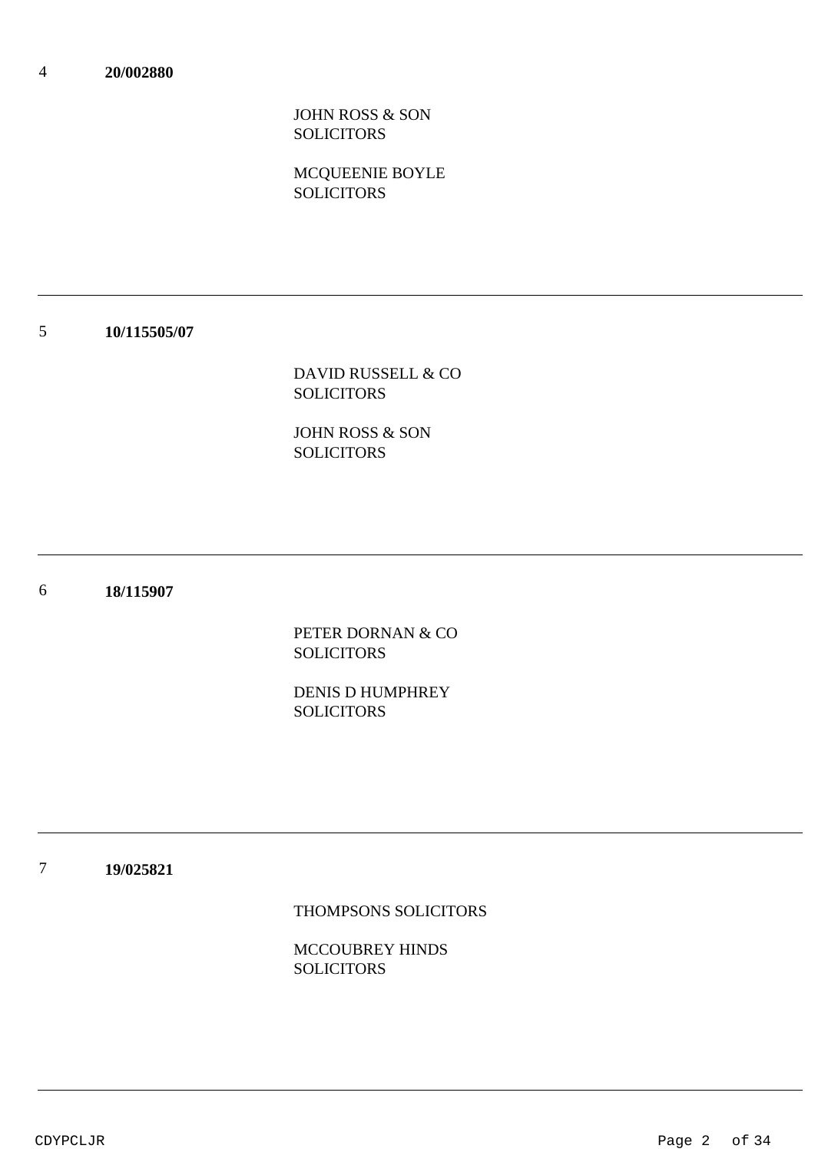JOHN ROSS & SON **SOLICITORS** 

MCQUEENIE BOYLE **SOLICITORS** 

#### 5 **10/115505/07**

DAVID RUSSELL & CO **SOLICITORS** 

JOHN ROSS & SON SOLICITORS

#### 6 **18/115907**

PETER DORNAN & CO **SOLICITORS** 

DENIS D HUMPHREY **SOLICITORS** 

7 **19/025821**

THOMPSONS SOLICITORS

MCCOUBREY HINDS **SOLICITORS**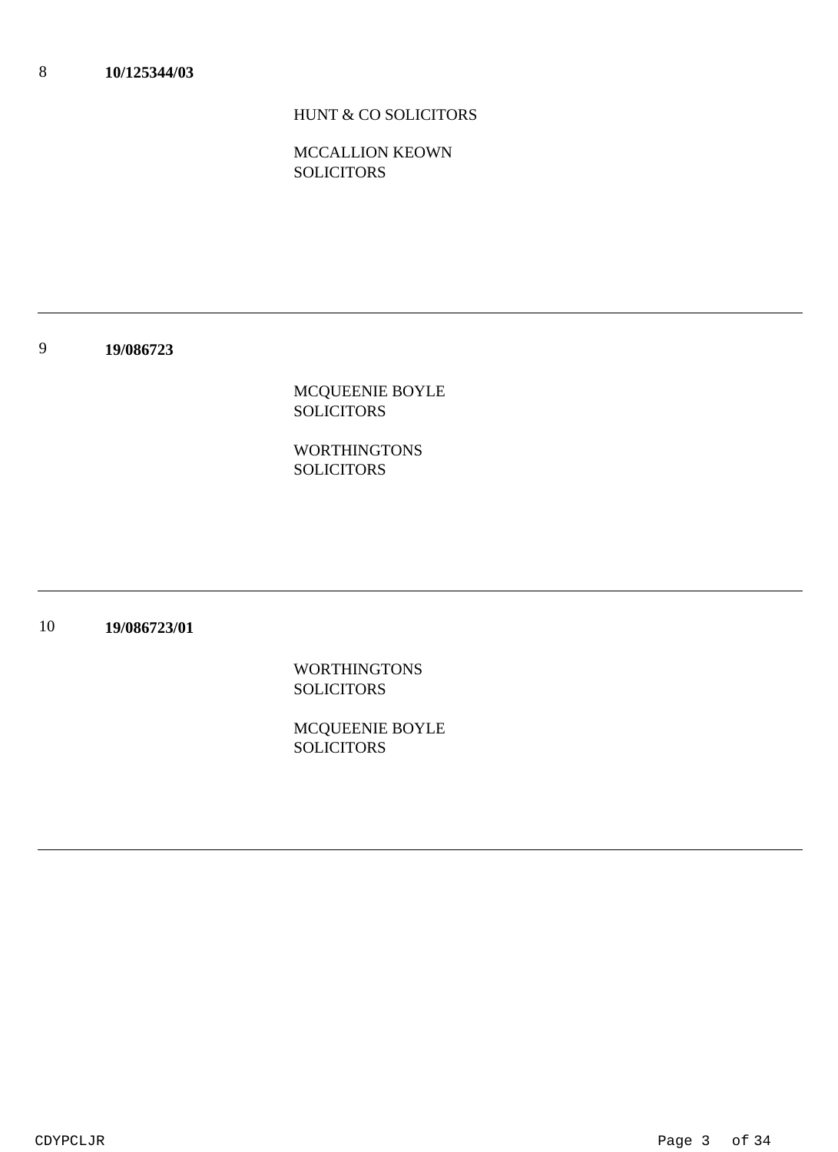# HUNT & CO SOLICITORS

MCCALLION KEOWN **SOLICITORS** 

9 **19/086723**

> MCQUEENIE BOYLE SOLICITORS

WORTHINGTONS SOLICITORS

10 **19/086723/01**

> WORTHINGTONS **SOLICITORS**

MCQUEENIE BOYLE **SOLICITORS**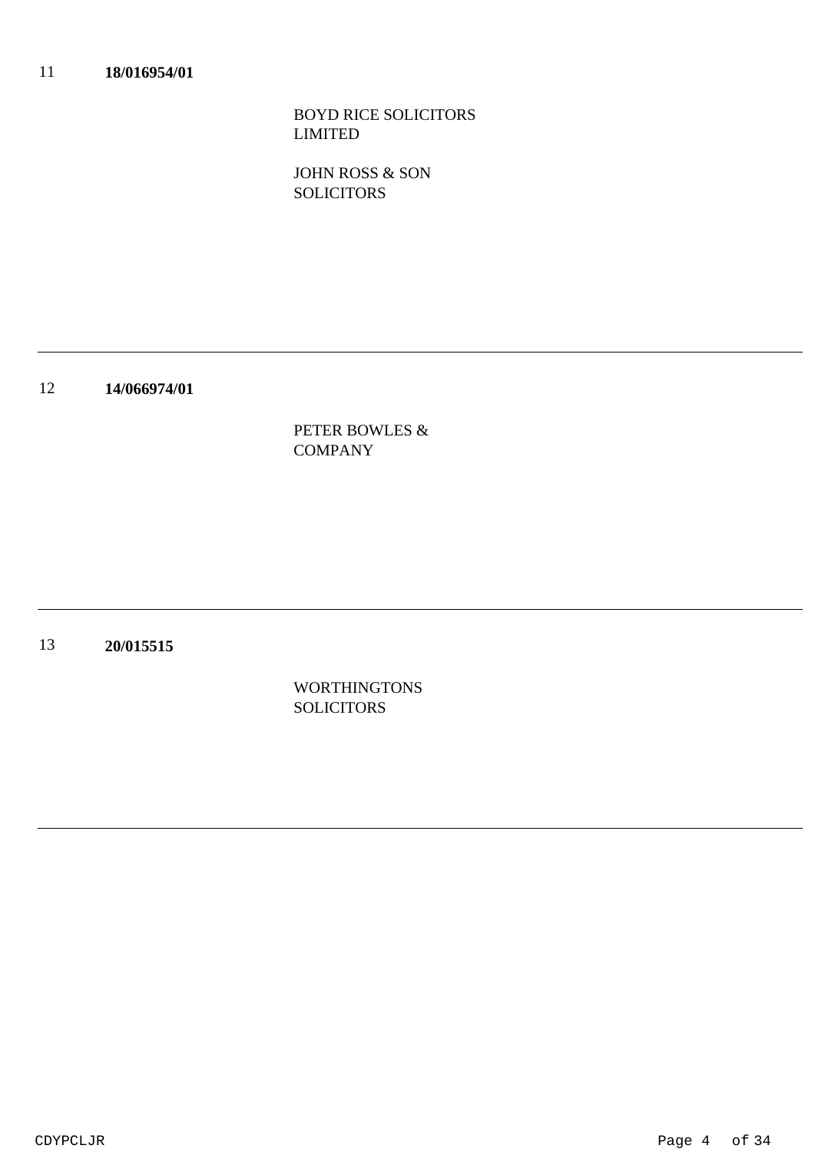BOYD RICE SOLICITORS LIMITED

JOHN ROSS & SON **SOLICITORS** 

12 **14/066974/01**

> PETER BOWLES & COMPANY

13 **20/015515**

> WORTHINGTONS **SOLICITORS**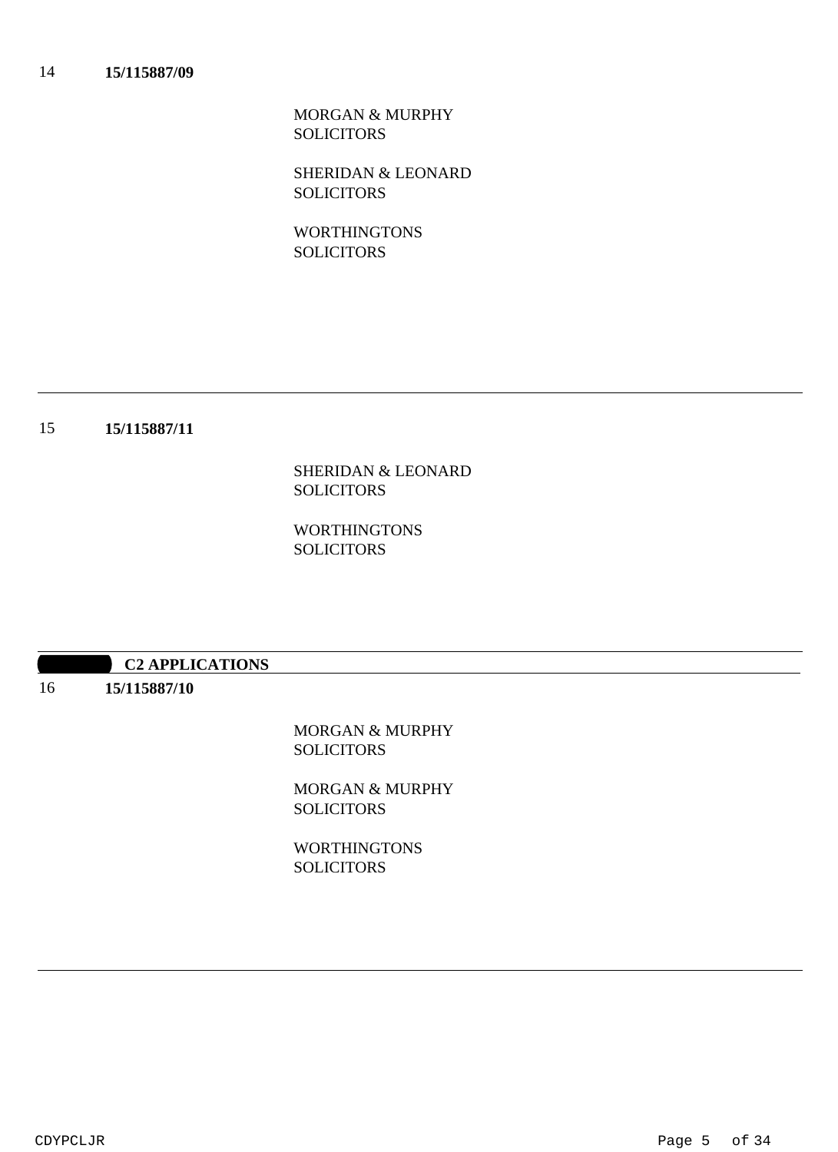MORGAN & MURPHY SOLICITORS

SHERIDAN & LEONARD **SOLICITORS** 

WORTHINGTONS **SOLICITORS** 

### 15 **15/115887/11**

SHERIDAN & LEONARD SOLICITORS

WORTHINGTONS SOLICITORS

### **10:20:30 APPLICATIONS**

16 **15/115887/10**

> MORGAN & MURPHY **SOLICITORS**

> MORGAN & MURPHY **SOLICITORS**

**WORTHINGTONS SOLICITORS**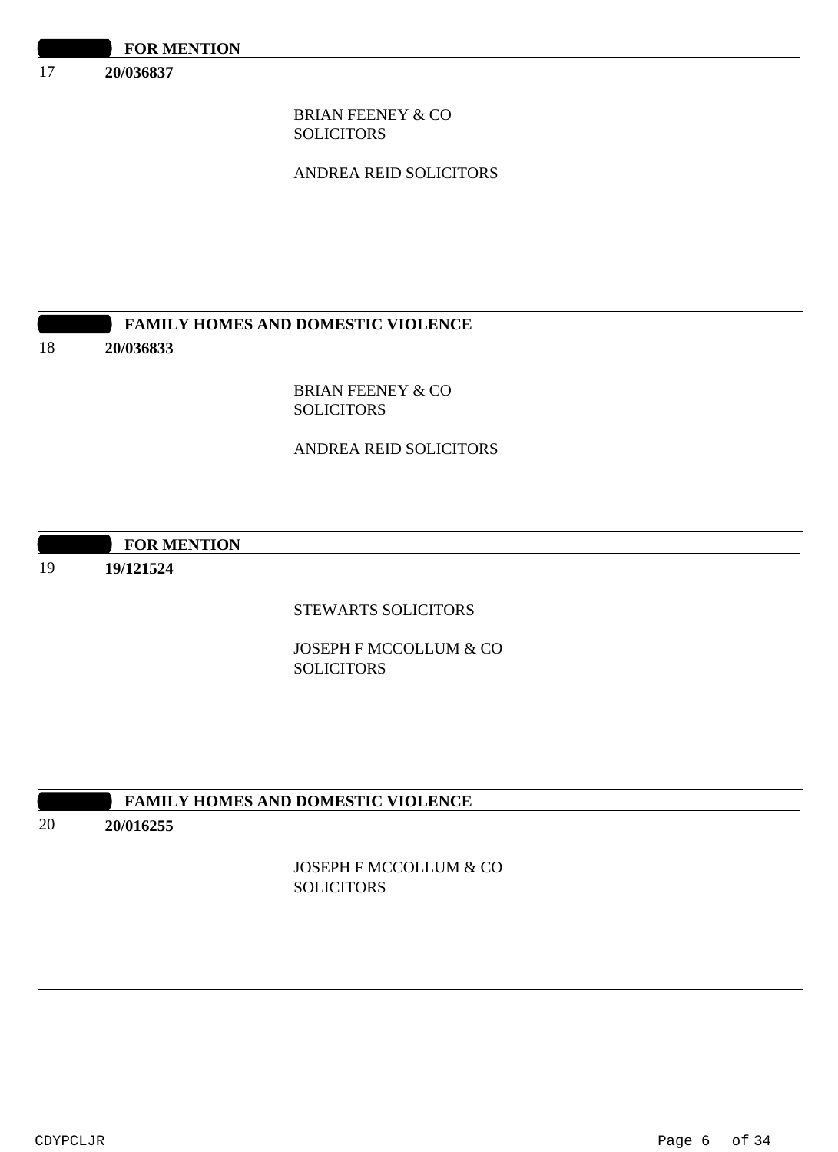17 **20/036837**

> BRIAN FEENEY & CO SOLICITORS

ANDREA REID SOLICITORS

# **FAMILY HOMES AND DOMESTIC VIOLENCE**

### 18

19

BRIAN FEENEY & CO **SOLICITORS** 

# ANDREA REID SOLICITORS

# **10:30 FOR MENTION 19/121524**

**20/036833**

STEWARTS SOLICITORS

JOSEPH F MCCOLLUM & CO **SOLICITORS** 

# **10:30 FAMILY HOMES AND DOMESTIC VIOLENCE**

### 20 **20/016255**

JOSEPH F MCCOLLUM & CO **SOLICITORS**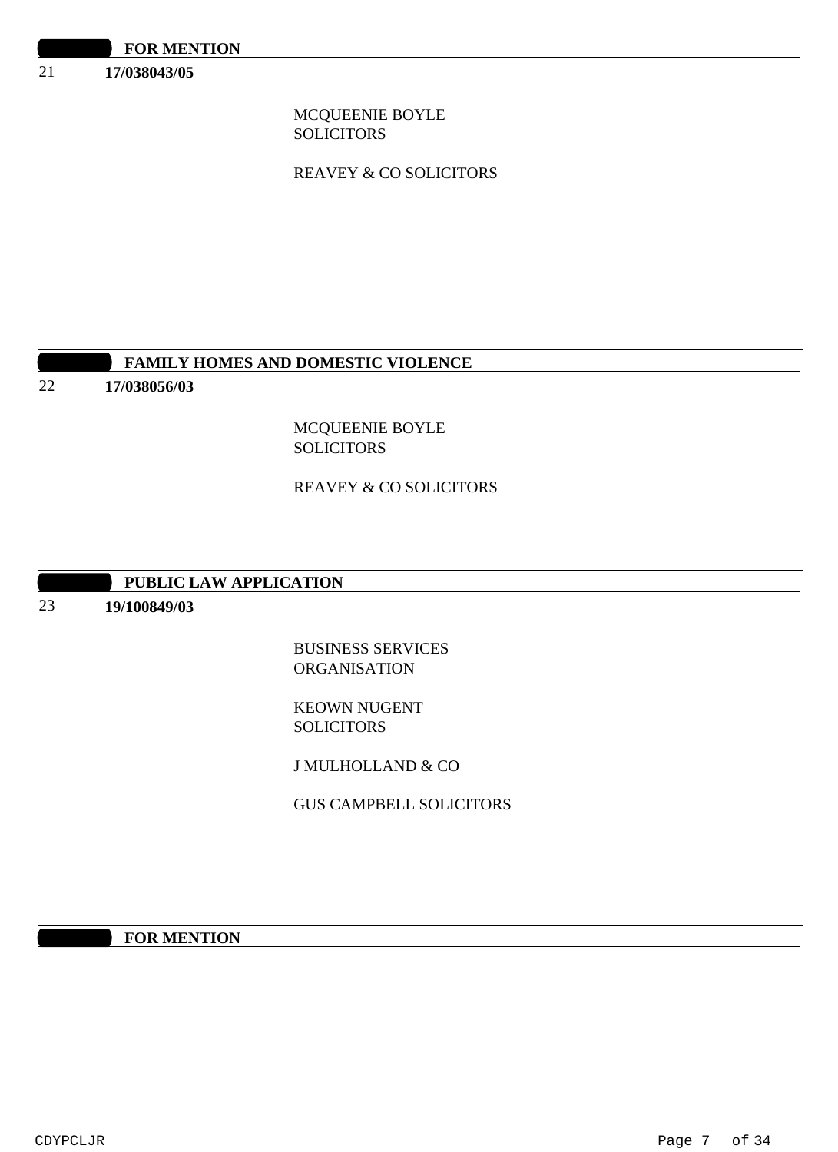21 **17/038043/05**

> MCQUEENIE BOYLE **SOLICITORS**

REAVEY & CO SOLICITORS

# **FAMILY HOMES AND DOMESTIC VIOLENCE**

22 **17/038056/03**

> MCQUEENIE BOYLE **SOLICITORS**

REAVEY & CO SOLICITORS

### **PUBLIC LAW APPLICATION**

### 23 **19/100849/03**

BUSINESS SERVICES ORGANISATION

KEOWN NUGENT SOLICITORS

J MULHOLLAND & CO

GUS CAMPBELL SOLICITORS

**1000 FOR MENTION**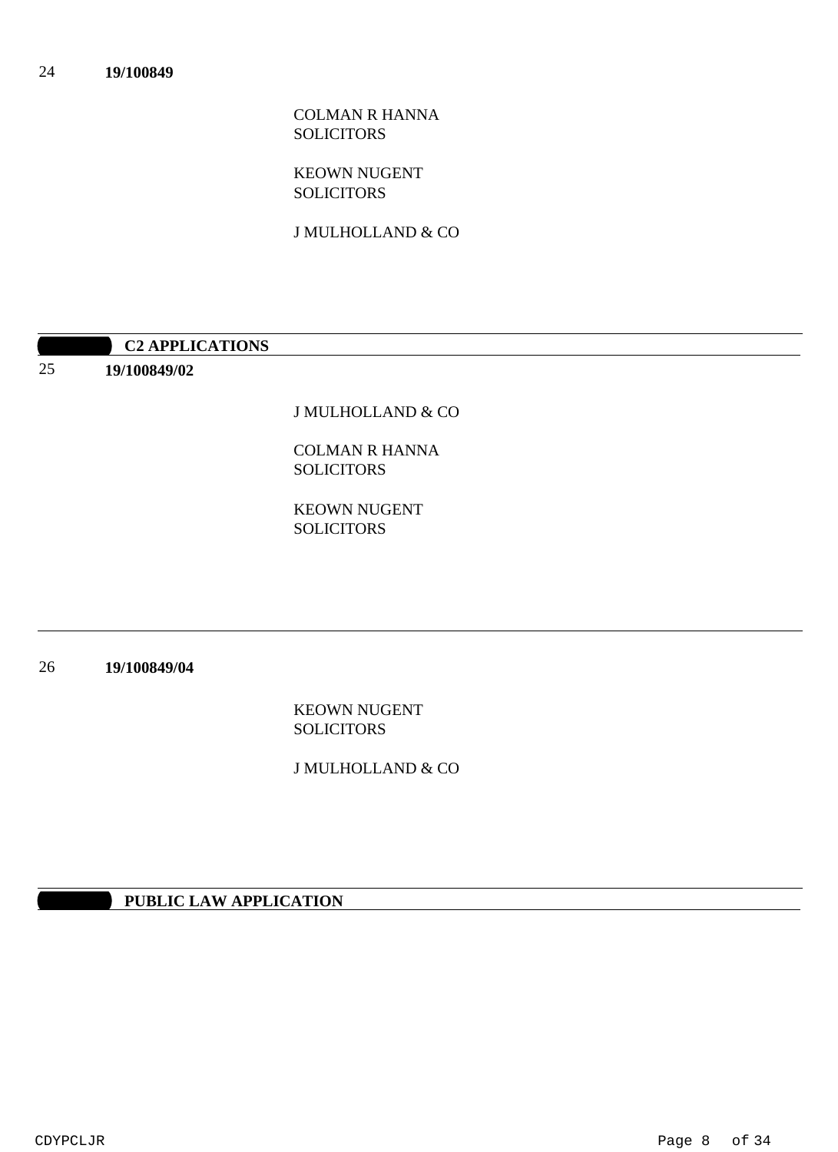### COLMAN R HANNA SOLICITORS

### KEOWN NUGENT **SOLICITORS**

J MULHOLLAND & CO

|    | <b>C2 APPLICATIONS</b> |  |
|----|------------------------|--|
| 25 | 19/100849/02           |  |
|    |                        |  |

J MULHOLLAND & CO

COLMAN R HANNA SOLICITORS

KEOWN NUGENT **SOLICITORS** 

26 **19/100849/04**

> KEOWN NUGENT **SOLICITORS**

J MULHOLLAND & CO

# **PUBLIC LAW APPLICATION**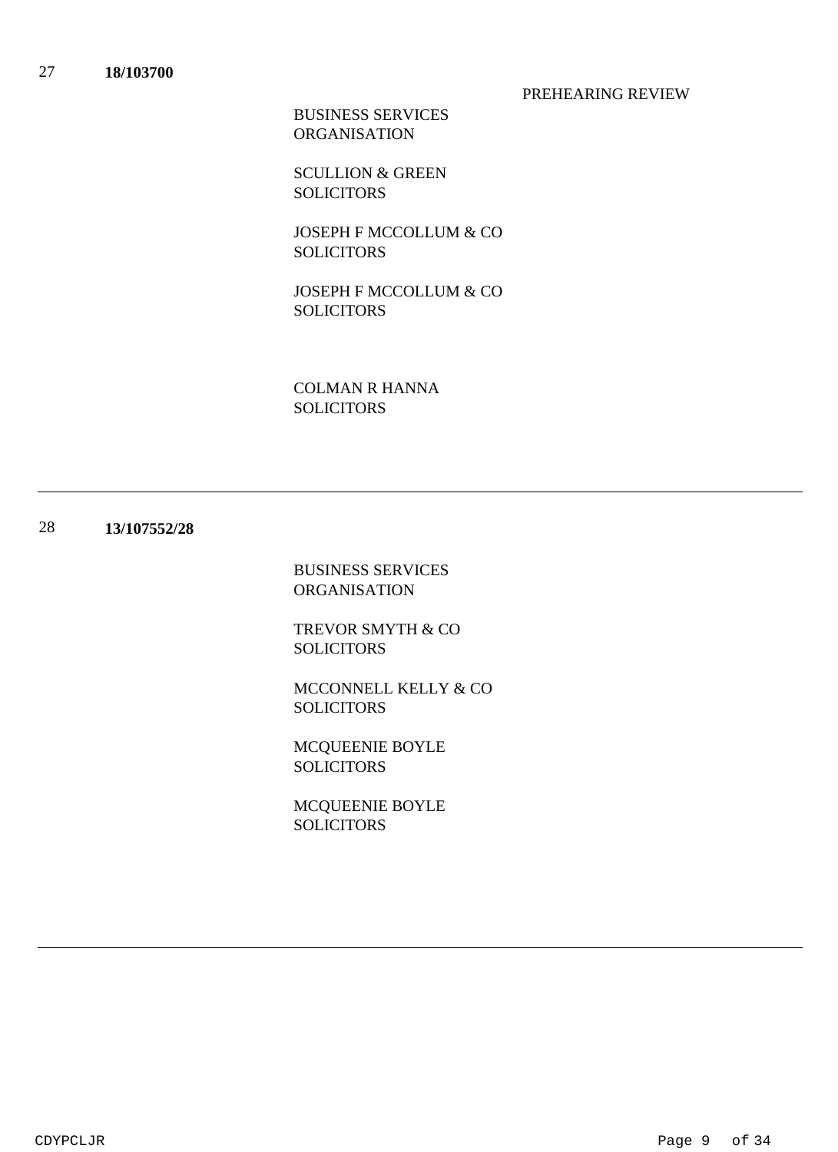### PREHEARING REVIEW

BUSINESS SERVICES ORGANISATION

SCULLION & GREEN **SOLICITORS** 

JOSEPH F MCCOLLUM & CO **SOLICITORS** 

JOSEPH F MCCOLLUM & CO **SOLICITORS** 

COLMAN R HANNA **SOLICITORS** 

#### 28 **13/107552/28**

BUSINESS SERVICES ORGANISATION

TREVOR SMYTH & CO SOLICITORS

MCCONNELL KELLY & CO SOLICITORS

MCQUEENIE BOYLE SOLICITORS

MCQUEENIE BOYLE **SOLICITORS**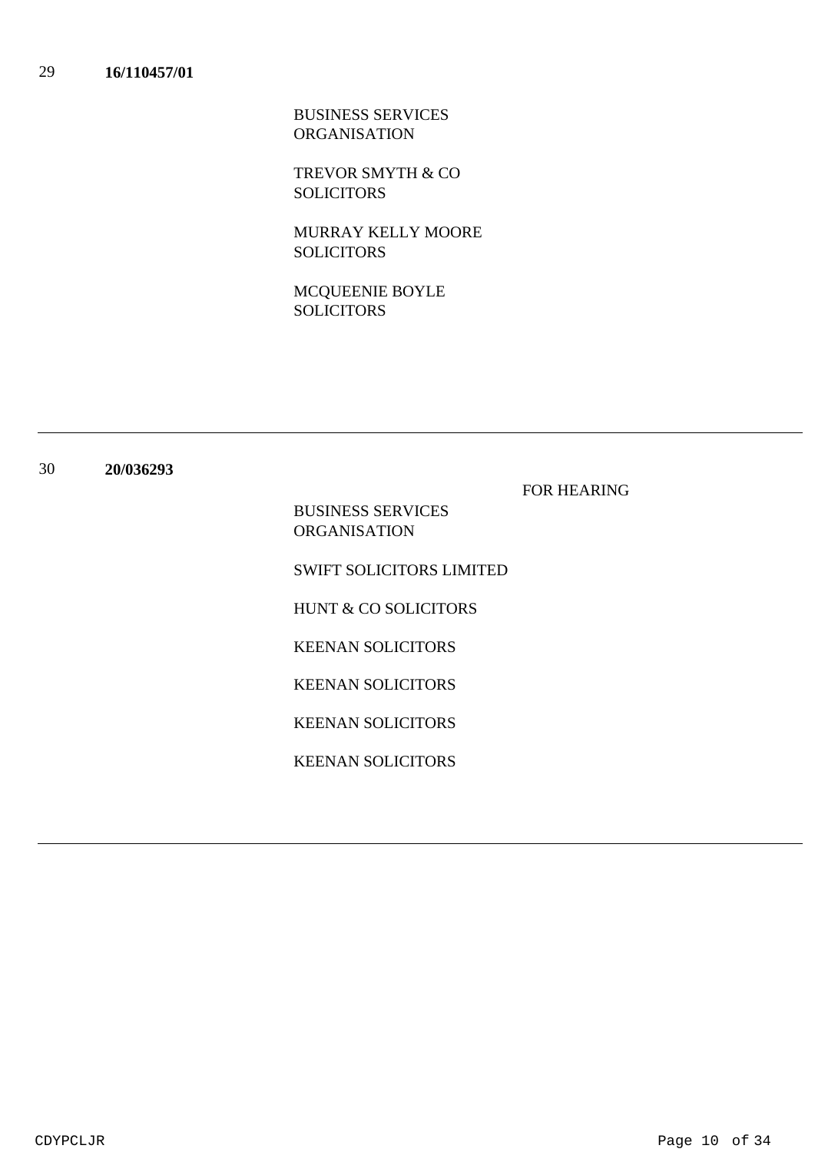BUSINESS SERVICES ORGANISATION

TREVOR SMYTH & CO **SOLICITORS** 

MURRAY KELLY MOORE **SOLICITORS** 

MCQUEENIE BOYLE **SOLICITORS** 

FOR HEARING

BUSINESS SERVICES ORGANISATION

SWIFT SOLICITORS LIMITED

HUNT & CO SOLICITORS

KEENAN SOLICITORS

KEENAN SOLICITORS

KEENAN SOLICITORS

KEENAN SOLICITORS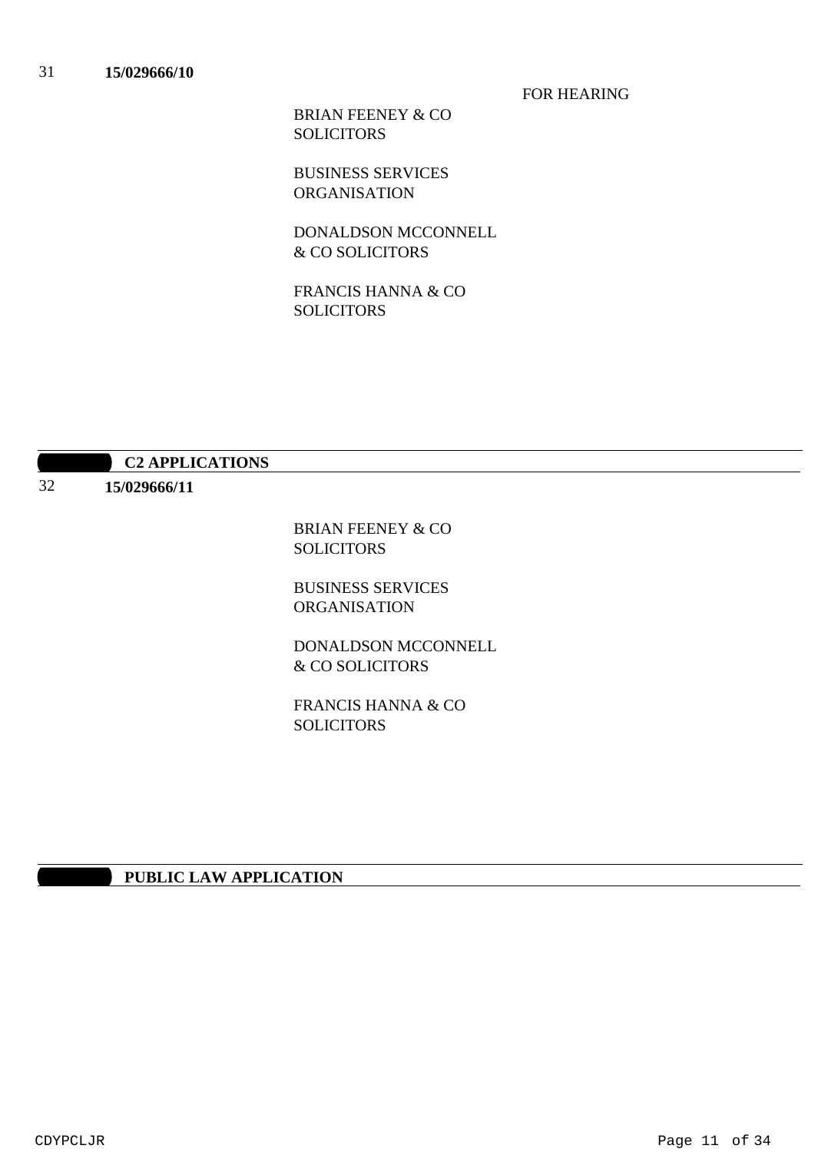FOR HEARING

BRIAN FEENEY & CO SOLICITORS

BUSINESS SERVICES ORGANISATION

DONALDSON MCCONNELL & CO SOLICITORS

FRANCIS HANNA & CO SOLICITORS

| 15/029666/11 |                               |
|--------------|-------------------------------|
|              | <b>BRIAN FEENEY &amp; CO</b>  |
|              | <b>SOLICITORS</b>             |
|              | <b>BUSINESS SERVICES</b>      |
|              | <b>ORGANISATION</b>           |
|              | DONALDSON MCCONNELL           |
|              | & CO SOLICITORS               |
|              | <b>FRANCIS HANNA &amp; CO</b> |
|              | <b>SOLICITORS</b>             |

### **10:30 PUBLIC LAW APPLICATION**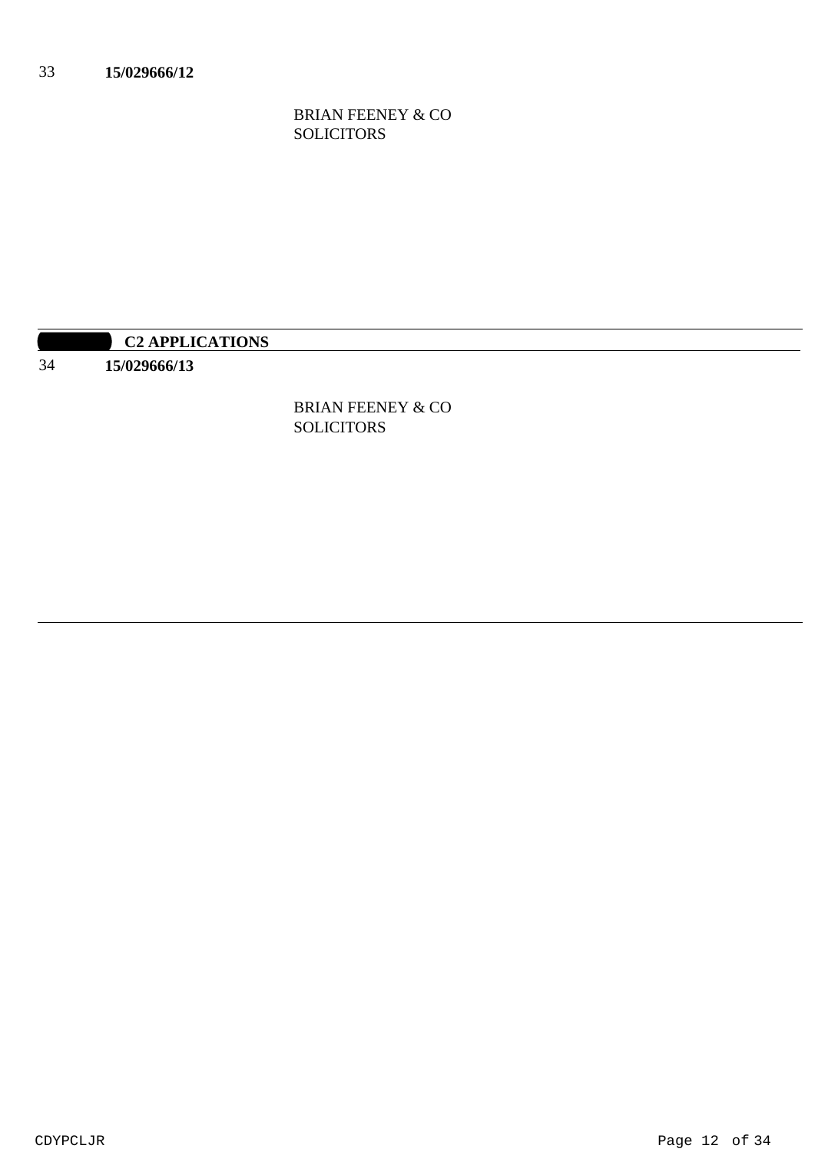BRIAN FEENEY & CO SOLICITORS

|    | <b>C2 APPLICATIONS</b> |
|----|------------------------|
| 34 | *****************      |

BRIAN FEENEY & CO SOLICITORS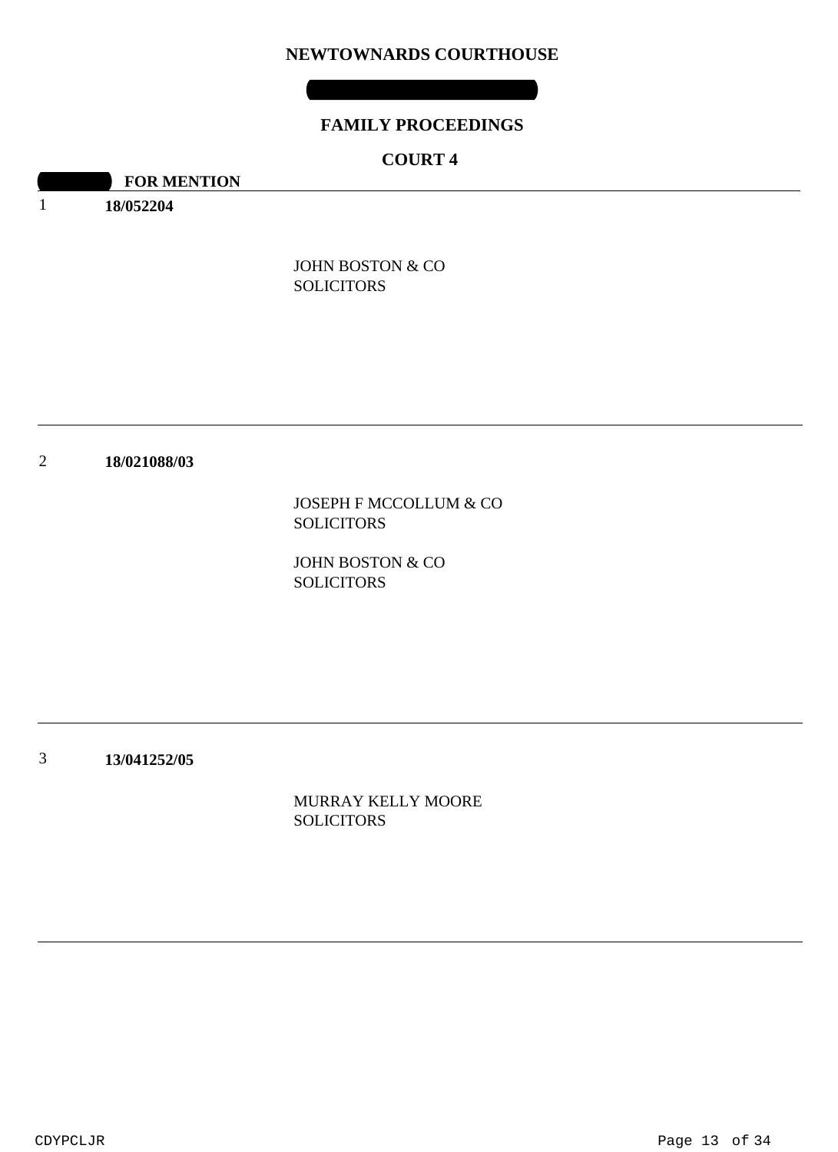### **NEWTOWNARDS COURTHOUSE**

# **FAMILY PROCEEDINGS**

# **COURT 4**

**10:30 FOR MENTION** 

1 **18/052204**

> JOHN BOSTON & CO SOLICITORS

#### 2 **18/021088/03**

JOSEPH F MCCOLLUM & CO SOLICITORS

JOHN BOSTON & CO SOLICITORS

3 **13/041252/05**

> MURRAY KELLY MOORE **SOLICITORS**

CDYPCLJR Page 13 of 34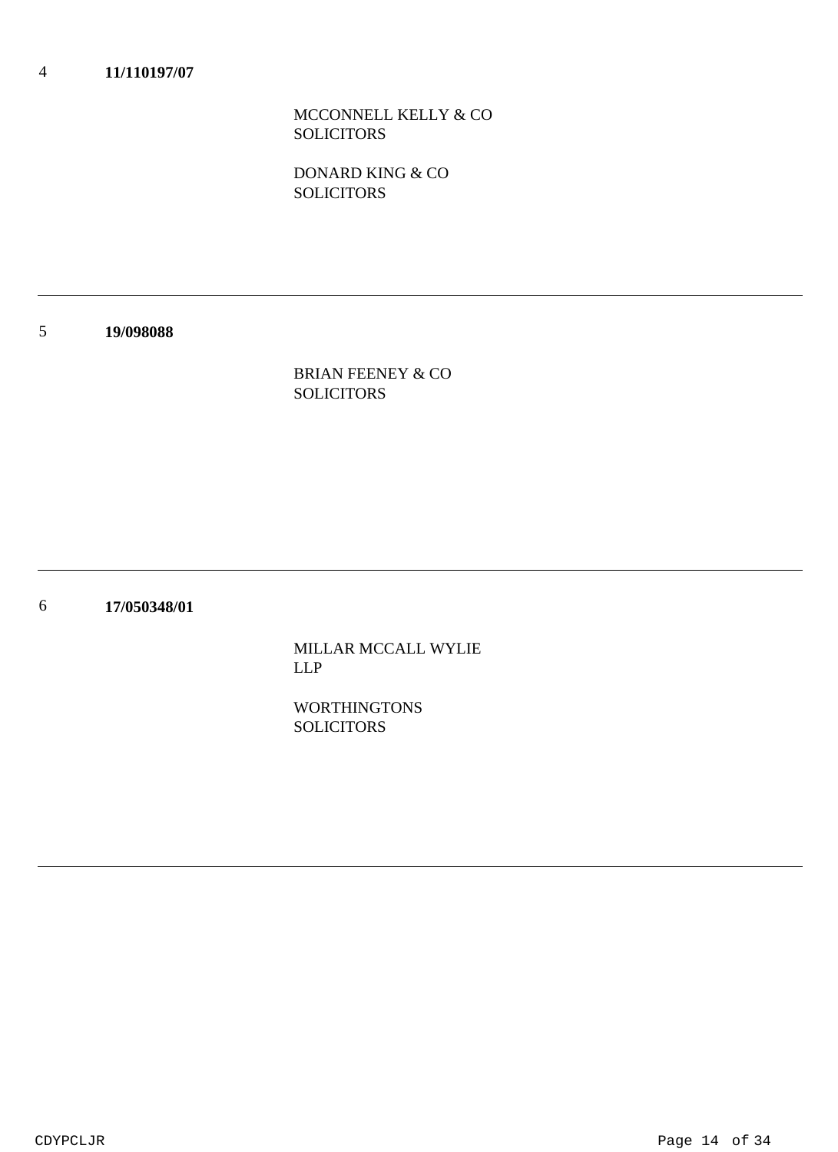MCCONNELL KELLY & CO **SOLICITORS** 

DONARD KING & CO **SOLICITORS** 

5 **19/098088**

> BRIAN FEENEY & CO **SOLICITORS**

6 **17/050348/01**

> MILLAR MCCALL WYLIE LLP

WORTHINGTONS **SOLICITORS**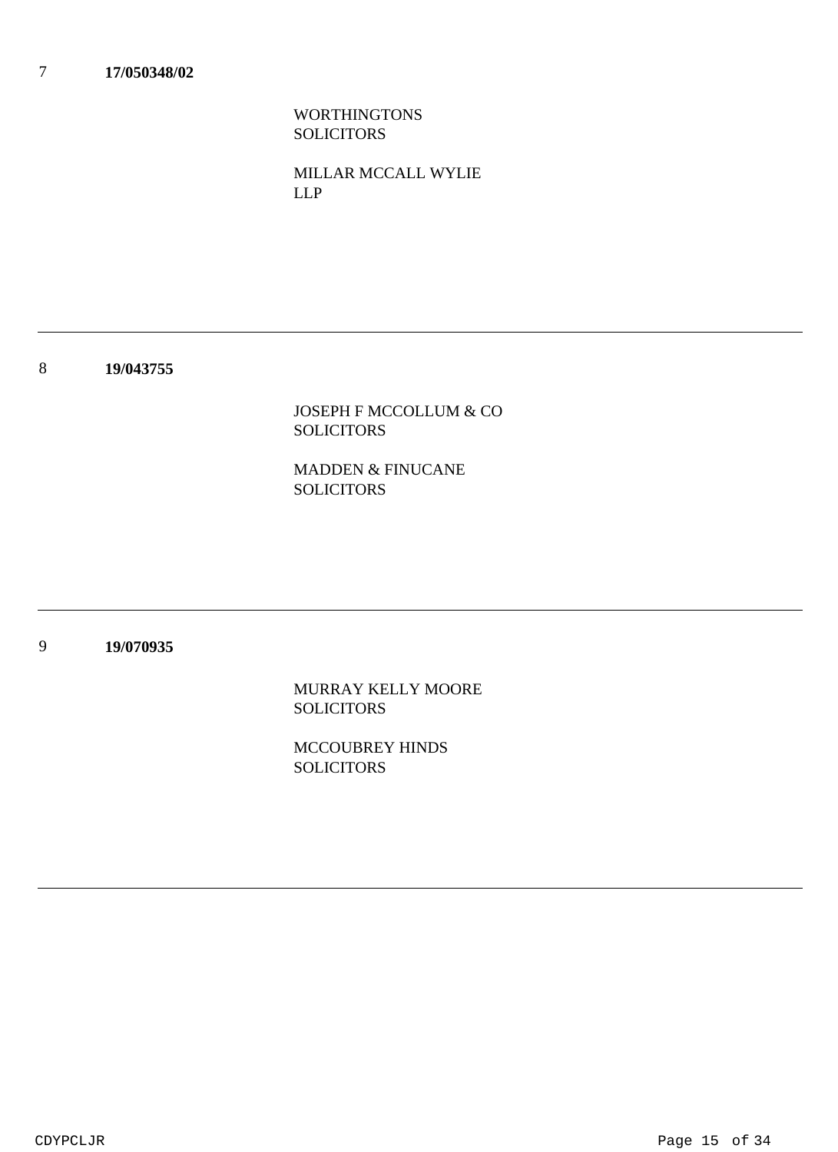WORTHINGTONS SOLICITORS

MILLAR MCCALL WYLIE LLP

8 **19/043755**

> JOSEPH F MCCOLLUM & CO SOLICITORS

MADDEN & FINUCANE **SOLICITORS** 

9 **19/070935**

> MURRAY KELLY MOORE **SOLICITORS**

MCCOUBREY HINDS **SOLICITORS** 

CDYPCLJR Page 15 of 34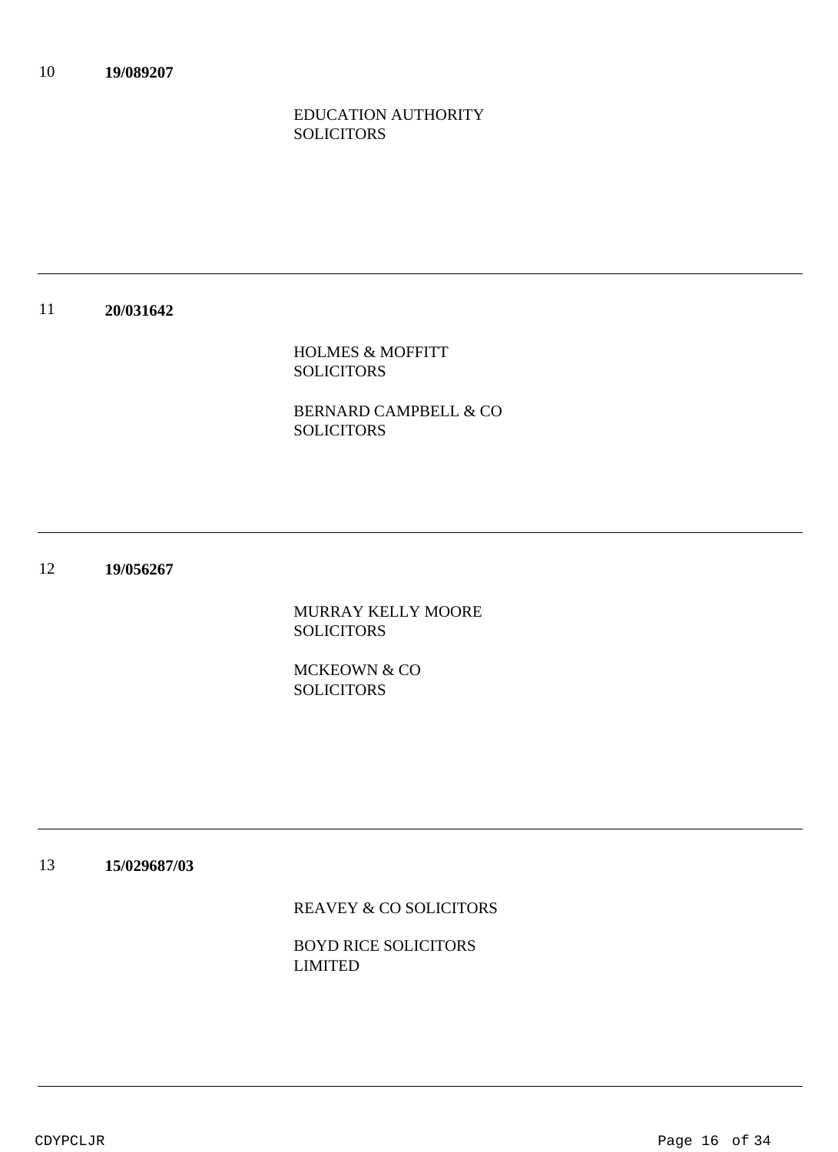# EDUCATION AUTHORITY **SOLICITORS**

#### 11 **20/031642**

HOLMES & MOFFITT SOLICITORS

BERNARD CAMPBELL & CO SOLICITORS

### 12 **19/056267**

MURRAY KELLY MOORE SOLICITORS

MCKEOWN & CO **SOLICITORS** 

13 **15/029687/03**

REAVEY & CO SOLICITORS

BOYD RICE SOLICITORS LIMITED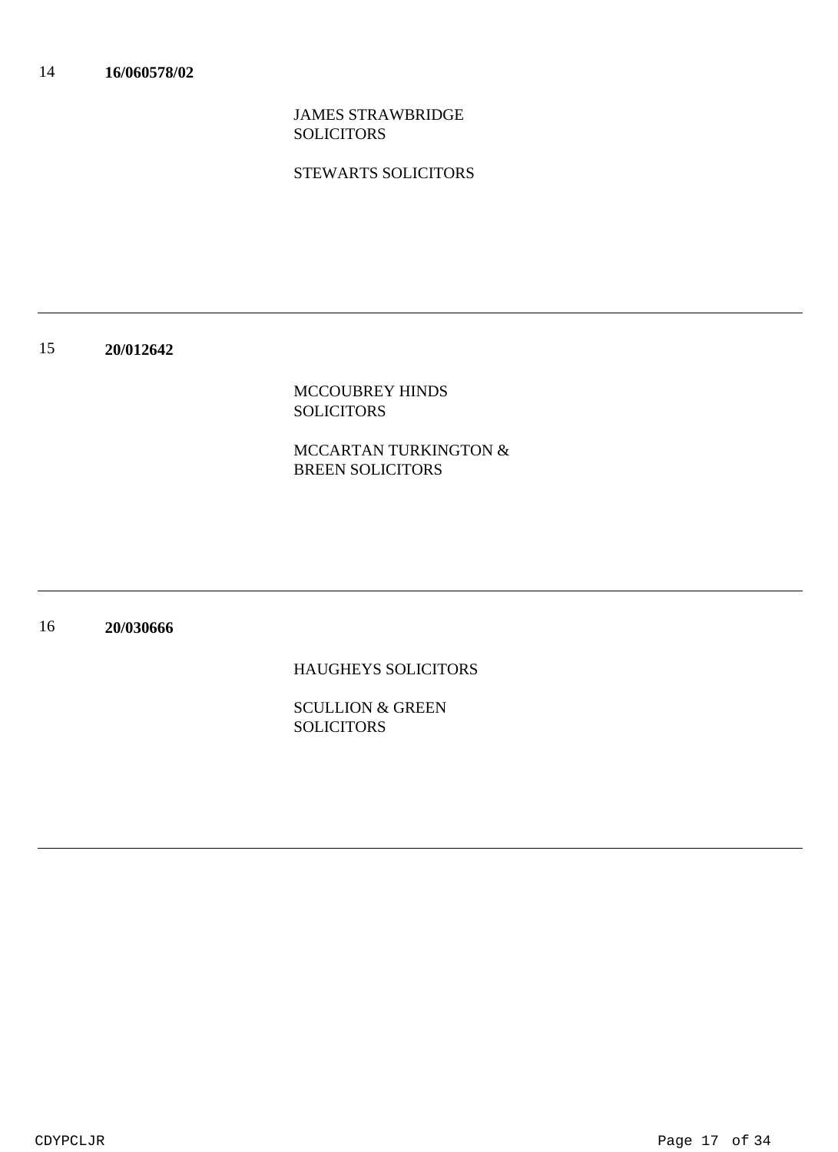JAMES STRAWBRIDGE SOLICITORS

STEWARTS SOLICITORS

#### 15 **20/012642**

MCCOUBREY HINDS SOLICITORS

MCCARTAN TURKINGTON & BREEN SOLICITORS

#### 16 **20/030666**

HAUGHEYS SOLICITORS

SCULLION & GREEN SOLICITORS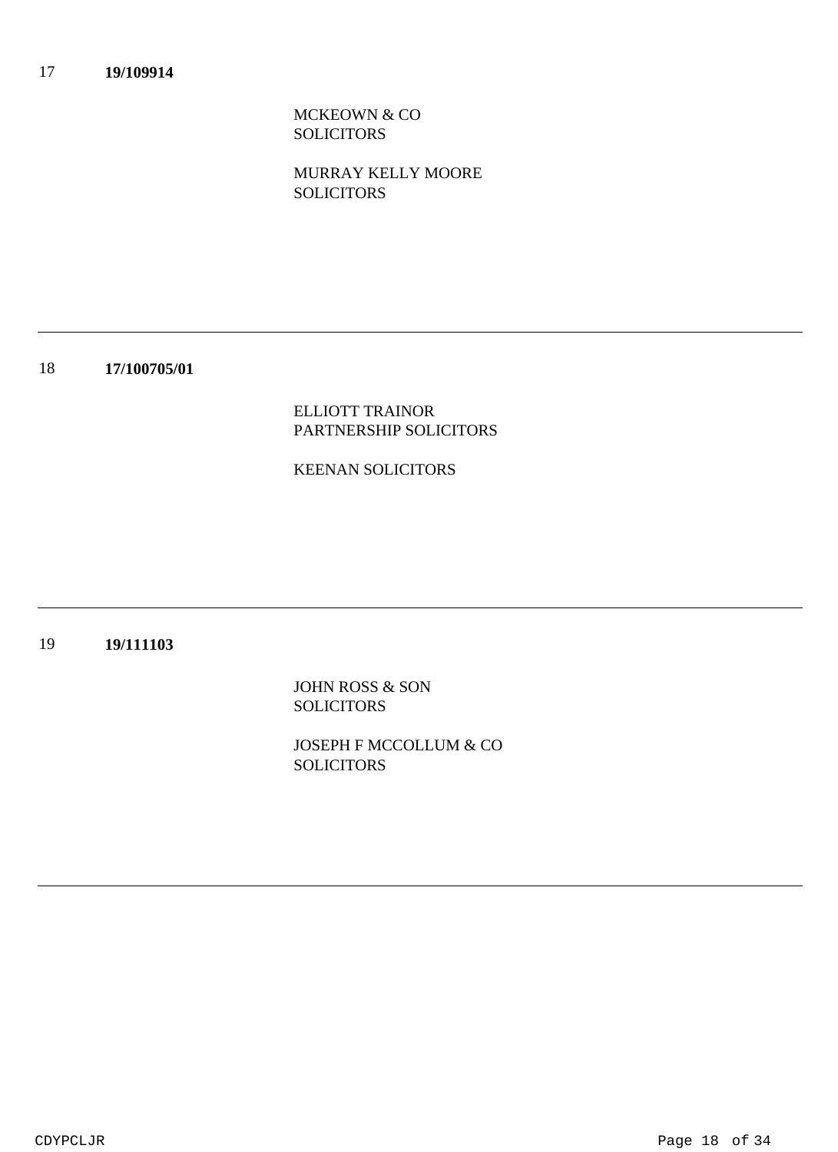MCKEOWN & CO SOLICITORS

MURRAY KELLY MOORE **SOLICITORS** 

18 **17/100705/01**

> ELLIOTT TRAINOR PARTNERSHIP SOLICITORS

### KEENAN SOLICITORS

#### 19 **19/111103**

JOHN ROSS & SON **SOLICITORS** 

JOSEPH F MCCOLLUM & CO **SOLICITORS** 

CDYPCLJR Page 18 of 34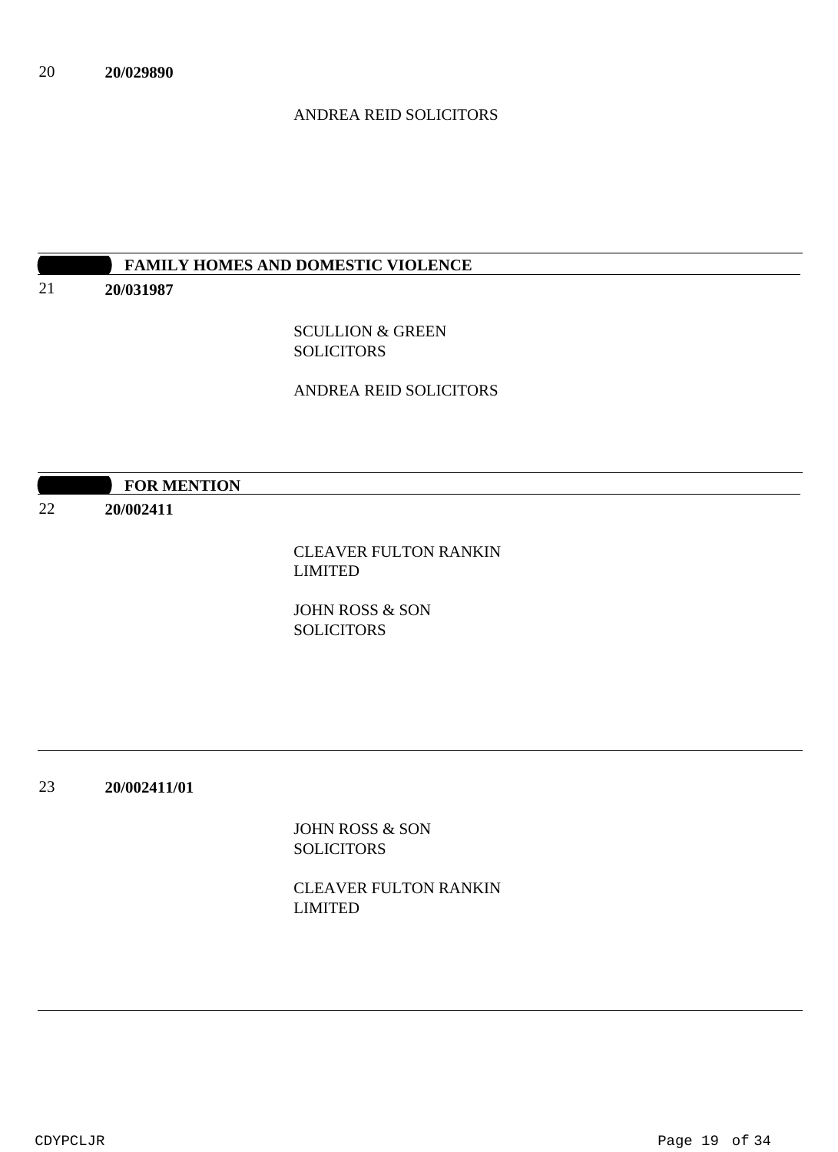# ANDREA REID SOLICITORS

# **10:30 AM FAMILY HOMES AND DOMESTIC VIOLENCE**

21 **20/031987**

> SCULLION & GREEN SOLICITORS

ANDREA REID SOLICITORS

|    | <b>FOR MENTION</b> |                              |
|----|--------------------|------------------------------|
| 22 | 20/002411          |                              |
|    |                    | <b>CLEAVER FULTON RANKIN</b> |
|    |                    | LIMITED                      |

JOHN ROSS & SON **SOLICITORS** 

23 **20/002411/01**

> JOHN ROSS & SON SOLICITORS

CLEAVER FULTON RANKIN LIMITED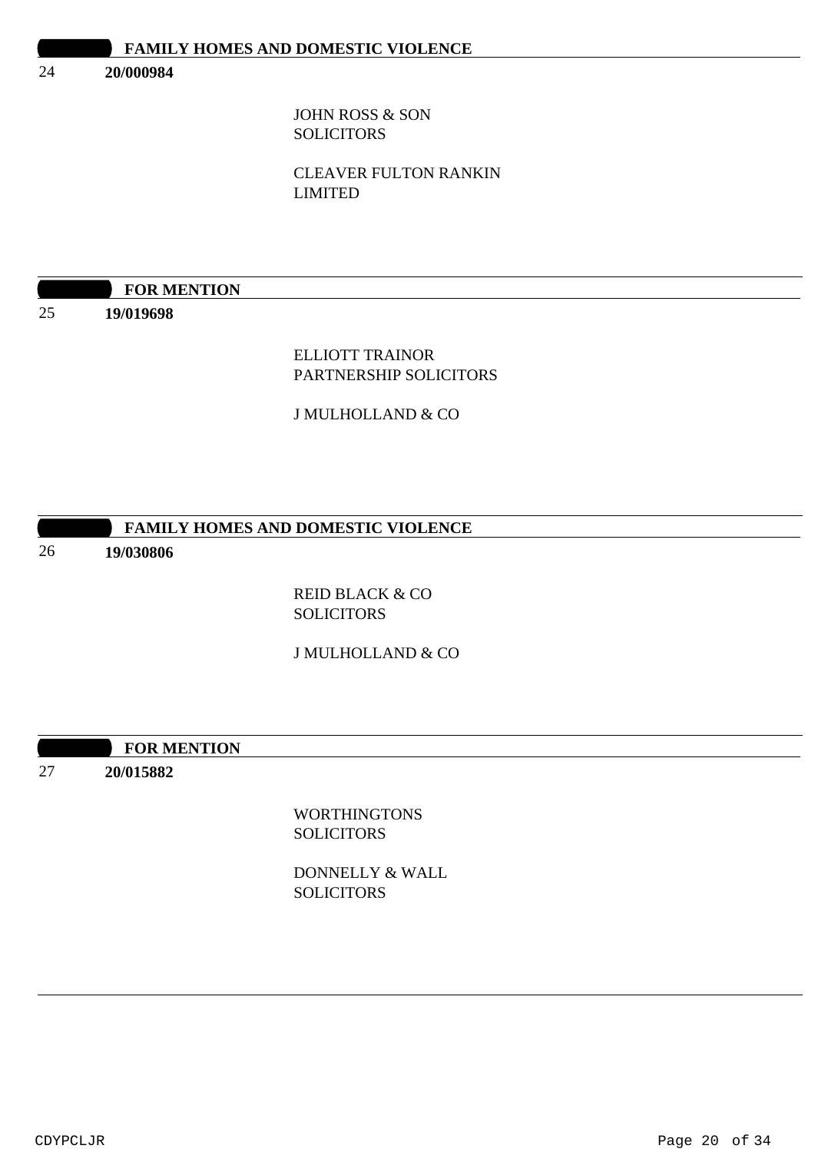#### 24 **20/000984**

JOHN ROSS & SON **SOLICITORS** 

CLEAVER FULTON RANKIN LIMITED

| <b>FOR MENTION</b> |
|--------------------|
|                    |

25

**19/019698**

ELLIOTT TRAINOR PARTNERSHIP SOLICITORS

J MULHOLLAND & CO

# **FAMILY HOMES AND DOMESTIC VIOLENCE**

#### 26 **19/030806**

REID BLACK & CO **SOLICITORS** 

J MULHOLLAND & CO

**100:30 FOR MENTION** 

27 **20/015882**

> WORTHINGTONS **SOLICITORS**

DONNELLY & WALL SOLICITORS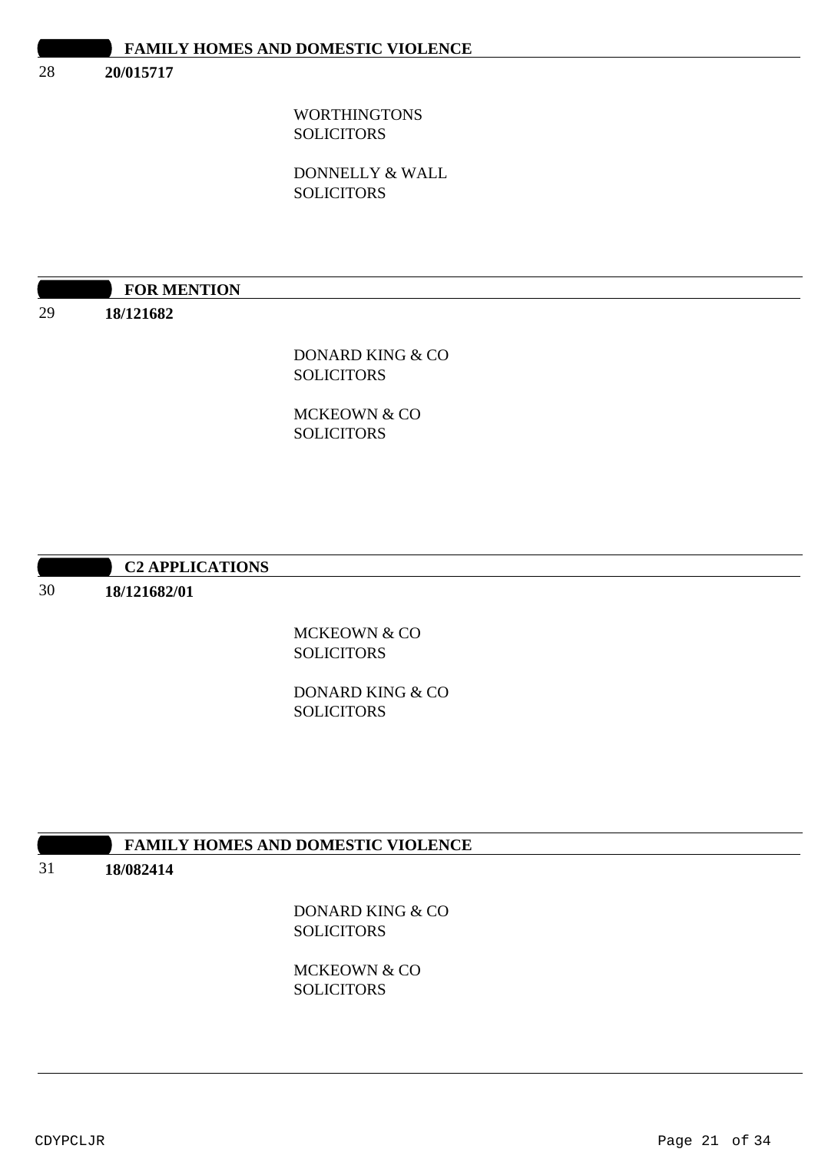28 **20/015717**

> WORTHINGTONS SOLICITORS

DONNELLY & WALL **SOLICITORS** 

# **FOR MENTION**

29

**18/121682**

# DONARD KING & CO SOLICITORS

MCKEOWN & CO **SOLICITORS** 

# **10:30 AM C2 APPLICATIONS**

30 **18/121682/01**

# MCKEOWN & CO **SOLICITORS**

DONARD KING & CO **SOLICITORS** 

# **10:30 FAMILY HOMES AND DOMESTIC VIOLENCE**

31

# **18/082414**

DONARD KING & CO **SOLICITORS** 

MCKEOWN & CO **SOLICITORS**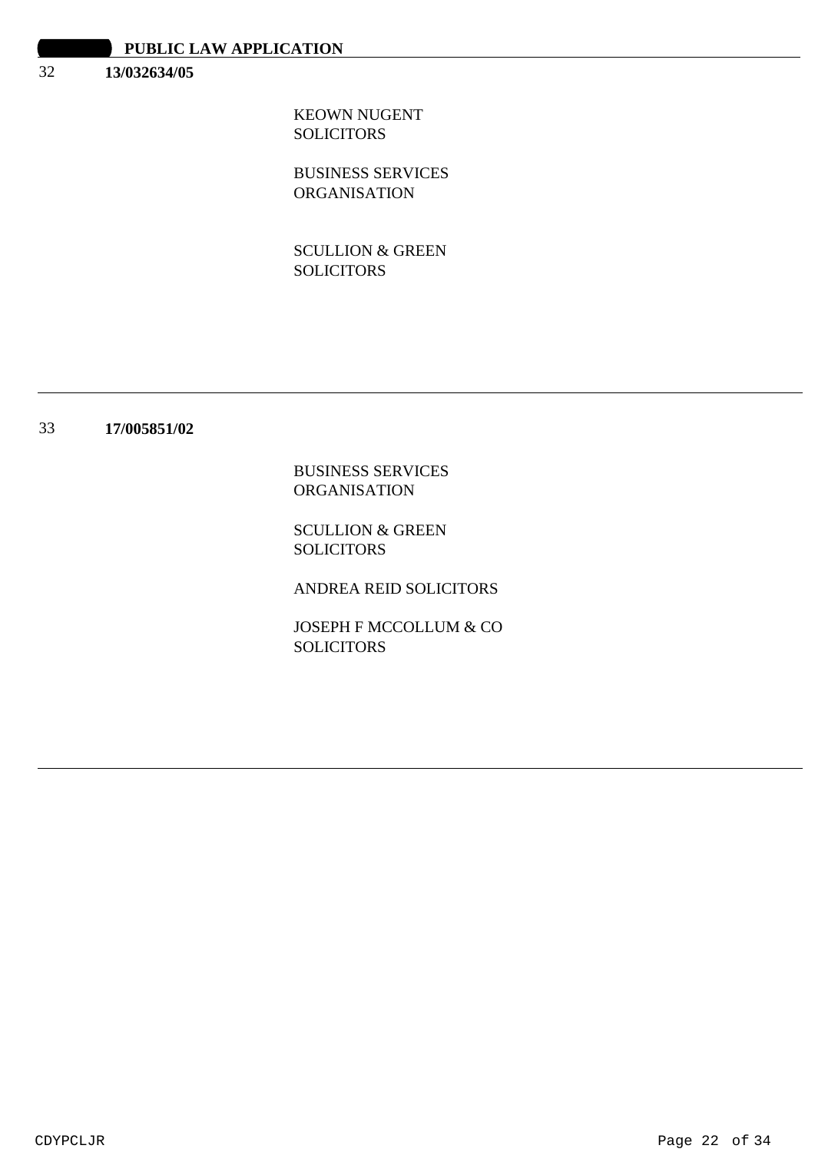#### 32 **13/032634/05**

KEOWN NUGENT **SOLICITORS** 

BUSINESS SERVICES ORGANISATION

SCULLION & GREEN SOLICITORS

#### 33 **17/005851/02**

BUSINESS SERVICES ORGANISATION

SCULLION & GREEN SOLICITORS

ANDREA REID SOLICITORS

JOSEPH F MCCOLLUM & CO SOLICITORS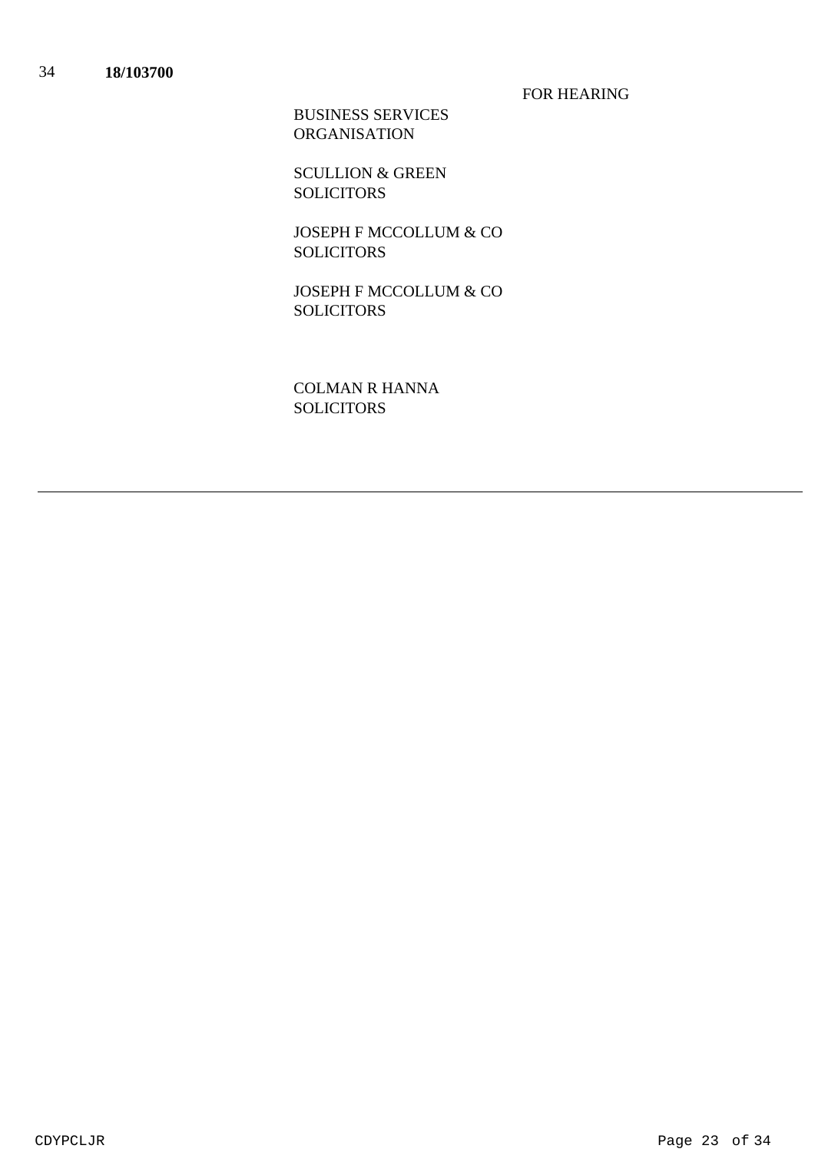FOR HEARING

BUSINESS SERVICES ORGANISATION

SCULLION & GREEN SOLICITORS

JOSEPH F MCCOLLUM & CO **SOLICITORS** 

JOSEPH F MCCOLLUM & CO SOLICITORS

COLMAN R HANNA SOLICITORS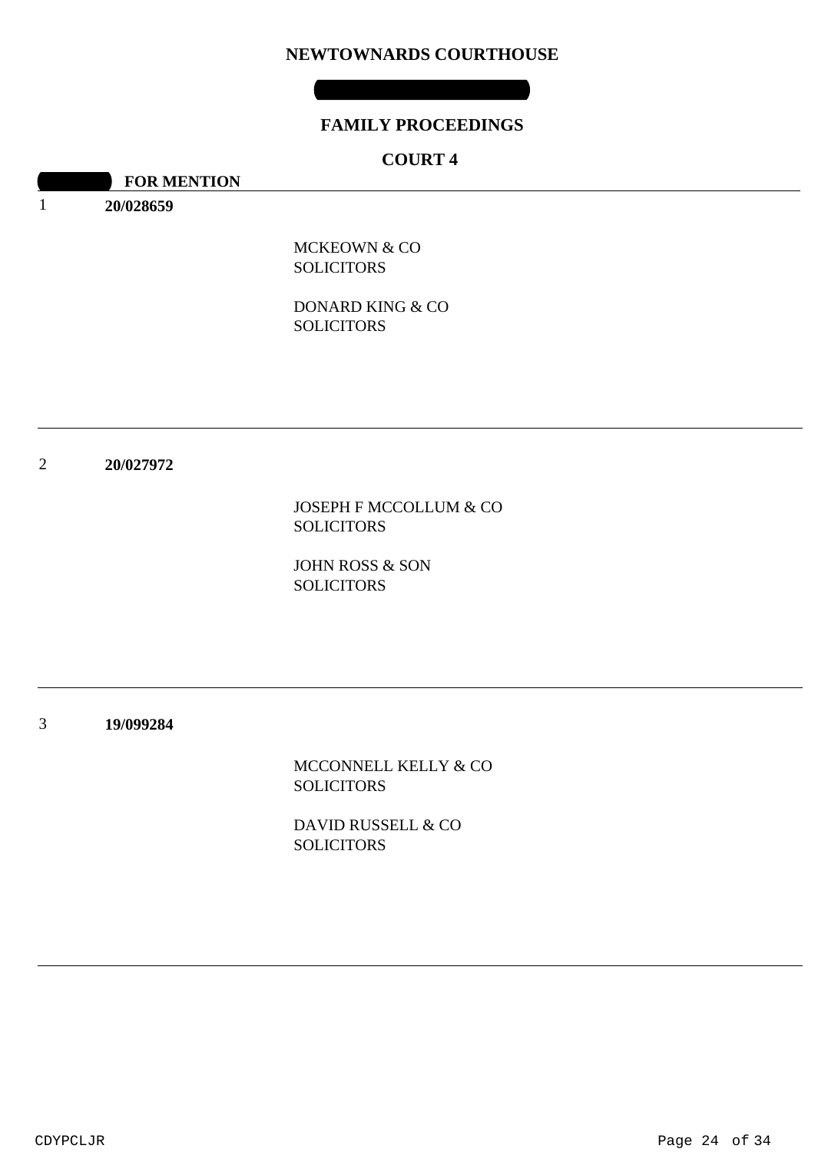### **NEWTOWNARDS COURTHOUSE**

### **FAMILY PROCEEDINGS**

# **COURT 4**

**10:30 FOR MENTION** 

1 **20/028659**

> MCKEOWN & CO **SOLICITORS**

DONARD KING & CO SOLICITORS

#### 2 **20/027972**

JOSEPH F MCCOLLUM & CO SOLICITORS

JOHN ROSS & SON SOLICITORS

3 **19/099284**

> MCCONNELL KELLY & CO **SOLICITORS**

DAVID RUSSELL & CO **SOLICITORS**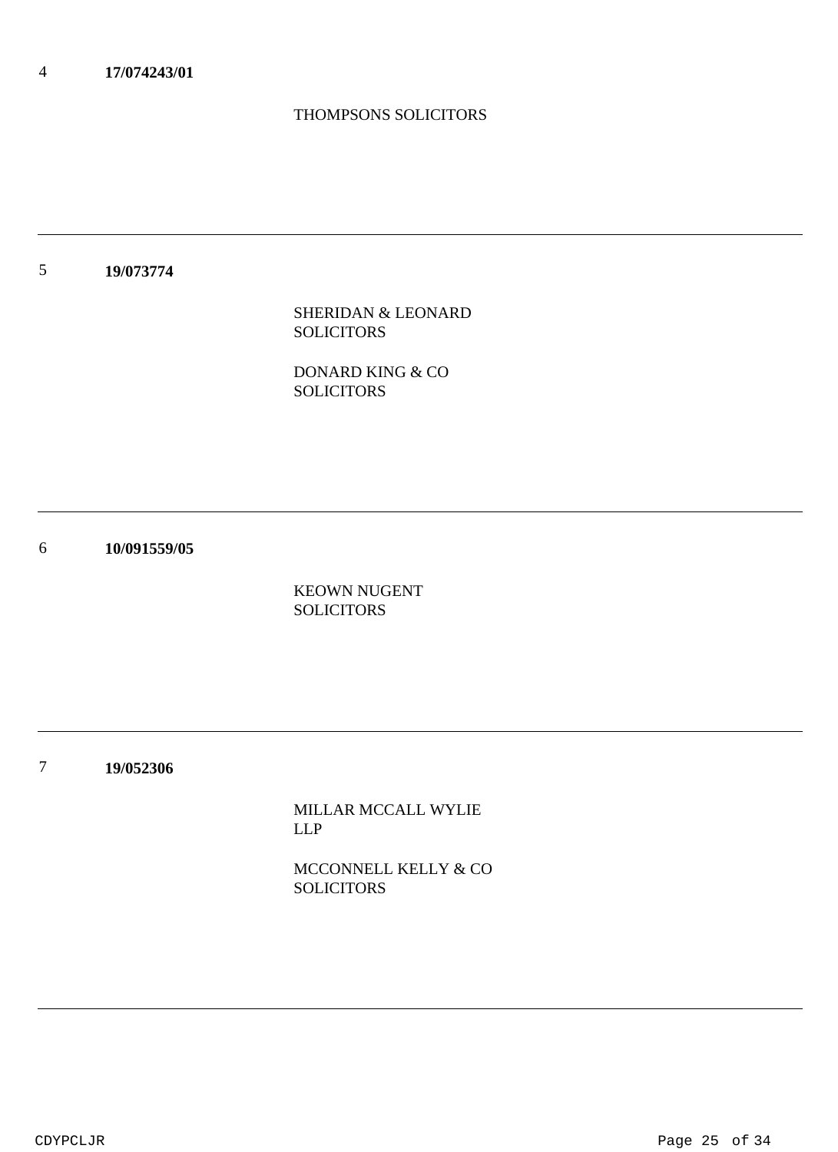# THOMPSONS SOLICITORS

5 **19/073774**

> SHERIDAN & LEONARD SOLICITORS

DONARD KING & CO SOLICITORS

6 **10/091559/05**

> KEOWN NUGENT **SOLICITORS**

7 **19/052306**

> MILLAR MCCALL WYLIE LLP

MCCONNELL KELLY & CO SOLICITORS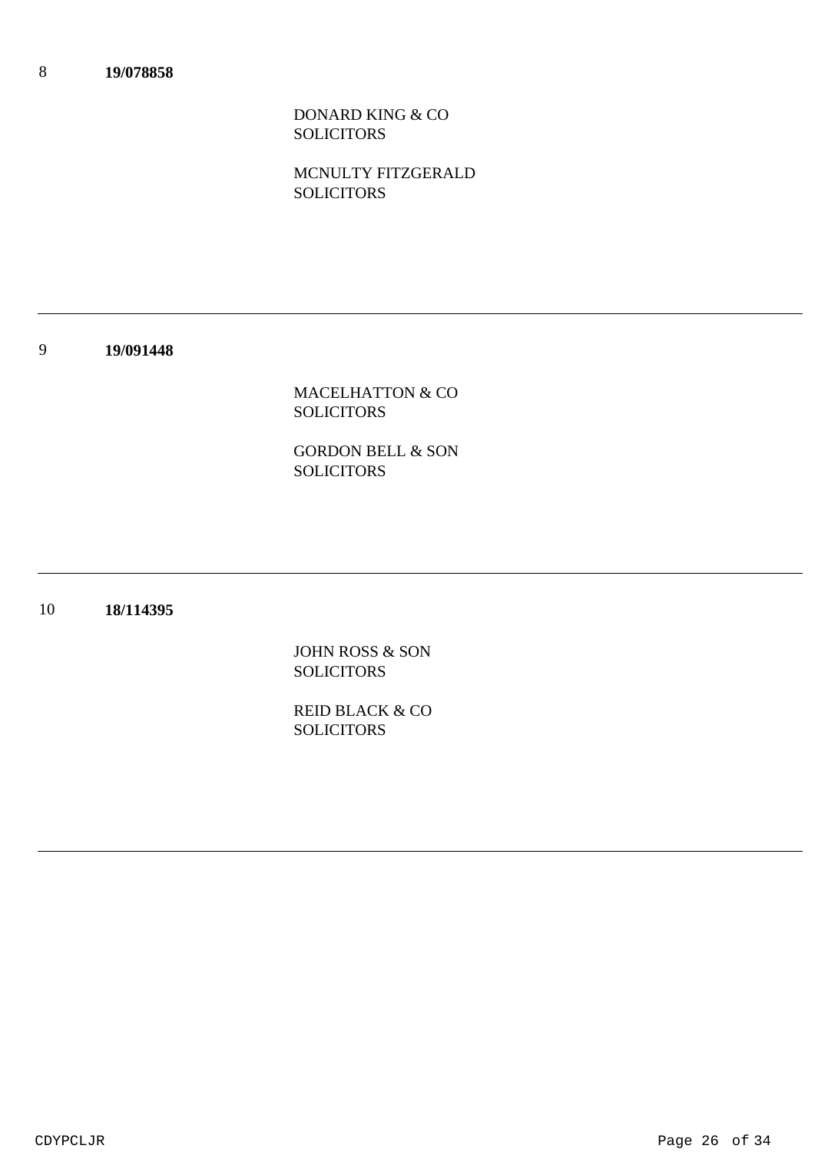DONARD KING & CO SOLICITORS

MCNULTY FITZGERALD **SOLICITORS** 

9 **19/091448**

> MACELHATTON & CO SOLICITORS

> GORDON BELL & SON SOLICITORS

10 **18/114395**

> JOHN ROSS & SON **SOLICITORS**

> REID BLACK & CO **SOLICITORS**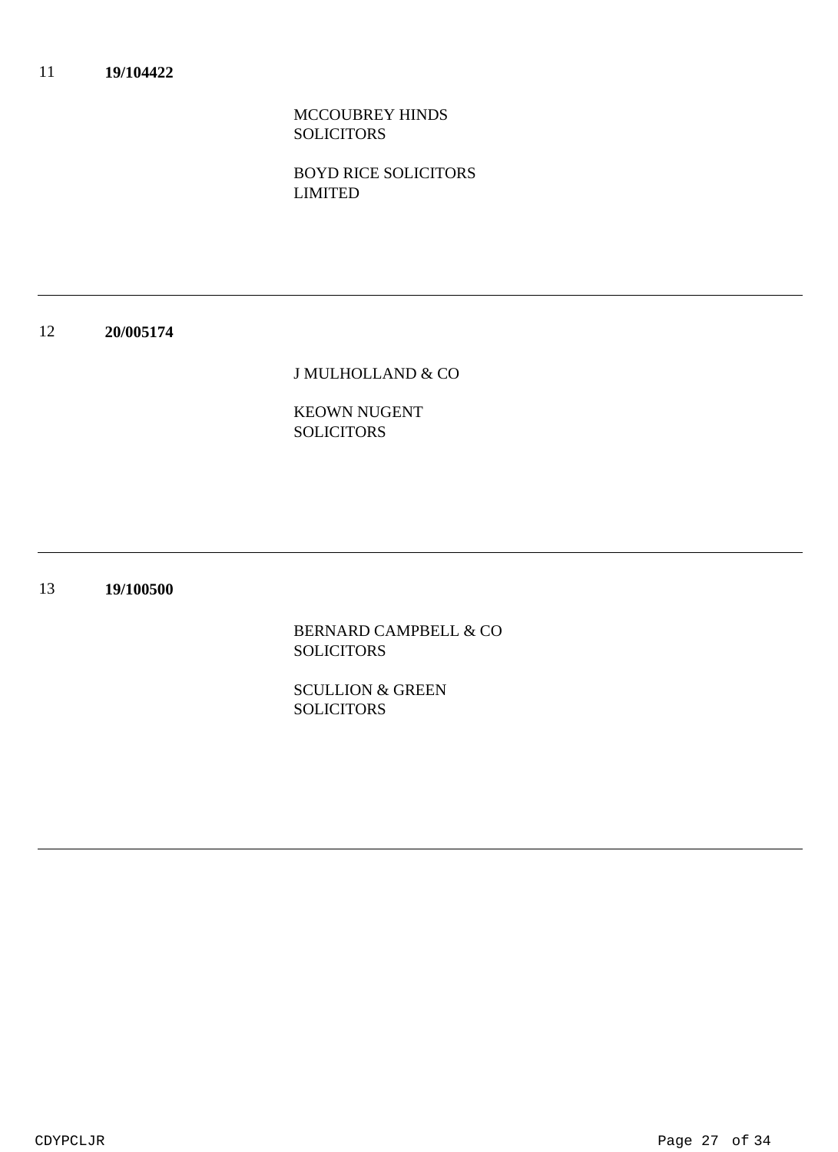MCCOUBREY HINDS SOLICITORS

BOYD RICE SOLICITORS LIMITED

#### 12 **20/005174**

J MULHOLLAND & CO

KEOWN NUGENT SOLICITORS

#### 13 **19/100500**

BERNARD CAMPBELL & CO **SOLICITORS** 

SCULLION & GREEN **SOLICITORS**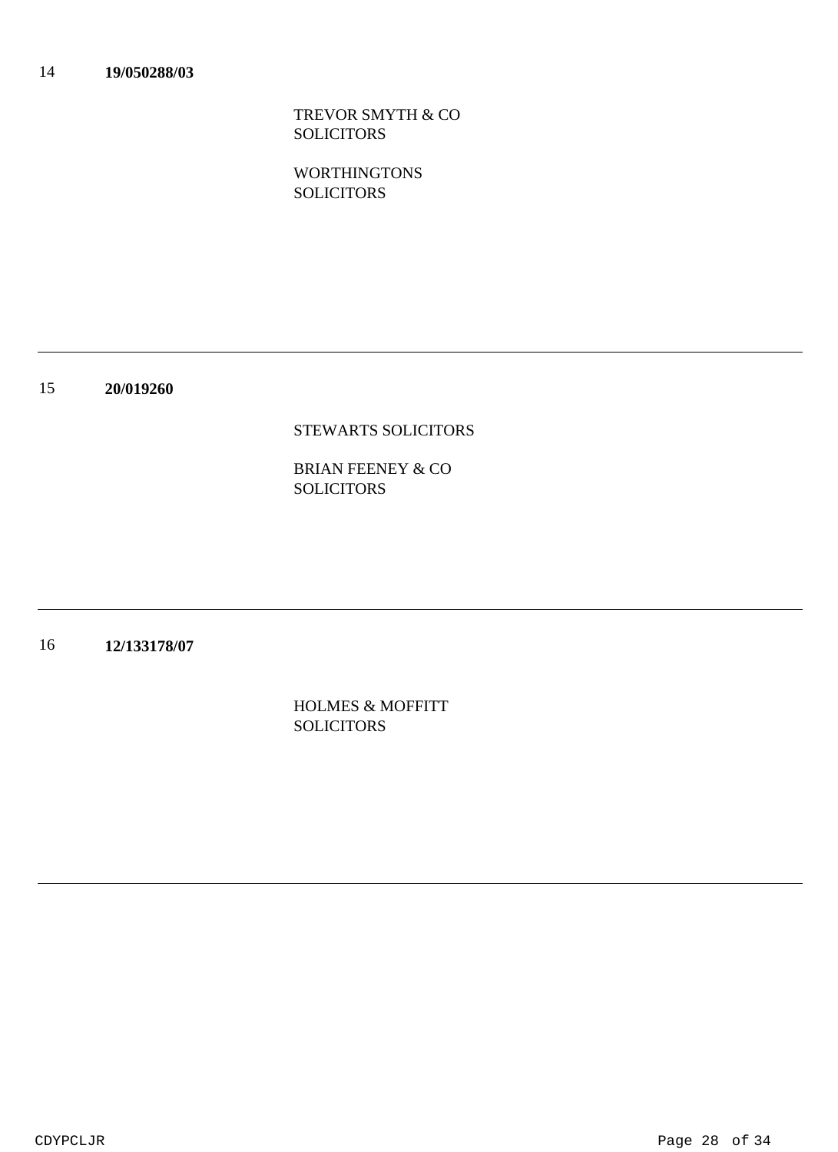TREVOR SMYTH & CO SOLICITORS

WORTHINGTONS SOLICITORS

15 **20/019260**

### STEWARTS SOLICITORS

BRIAN FEENEY & CO SOLICITORS

16 **12/133178/07**

> HOLMES & MOFFITT **SOLICITORS**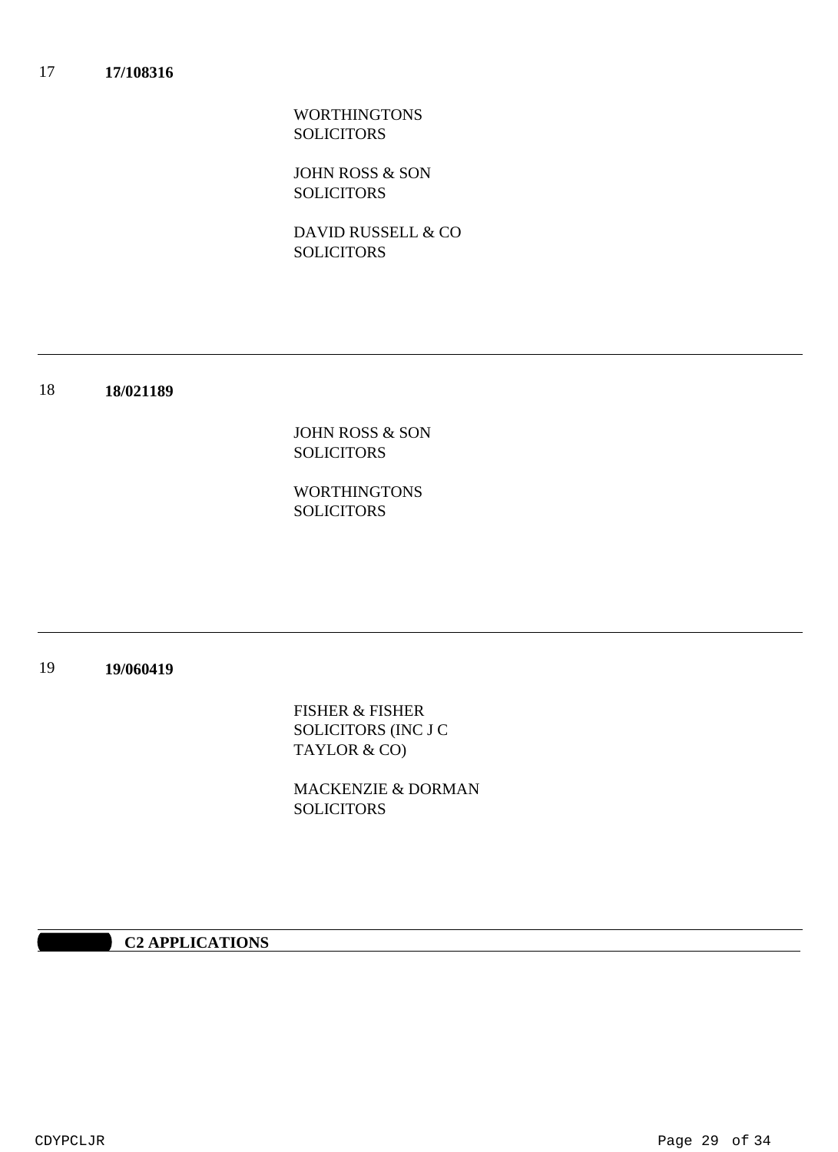WORTHINGTONS **SOLICITORS** 

JOHN ROSS & SON **SOLICITORS** 

DAVID RUSSELL & CO **SOLICITORS** 

18 **18/021189**

> JOHN ROSS & SON SOLICITORS

WORTHINGTONS SOLICITORS

#### 19 **19/060419**

FISHER & FISHER SOLICITORS (INC J C TAYLOR & CO)

MACKENZIE & DORMAN **SOLICITORS** 

### **10:30 AM C2 APPLICATIONS**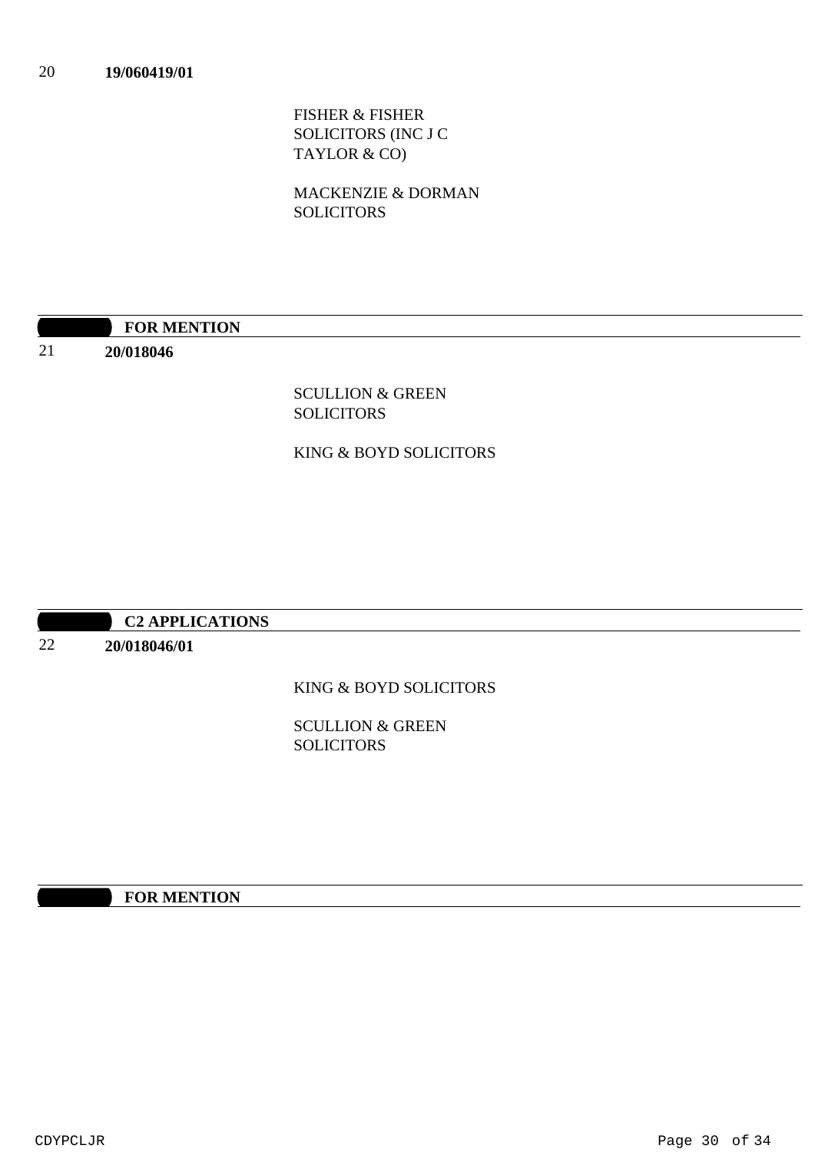FISHER & FISHER SOLICITORS (INC J C TAYLOR & CO)

MACKENZIE & DORMAN SOLICITORS

# **10:30 FOR MENTION**

**20/018046**

21

SCULLION & GREEN SOLICITORS

### KING & BOYD SOLICITORS

# **10:30 AM C2 APPLICATIONS**

**20/018046/01**

22

# KING & BOYD SOLICITORS

SCULLION & GREEN **SOLICITORS** 

# **10:30 FOR MENTION**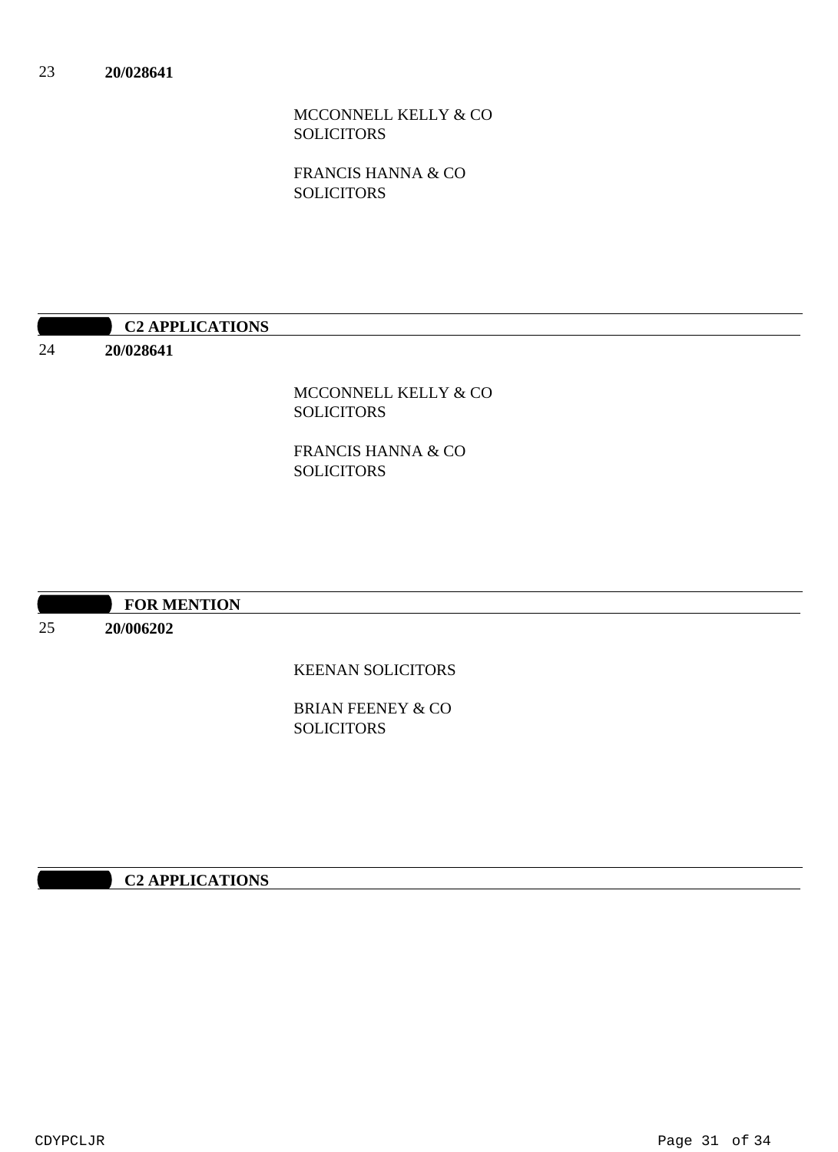MCCONNELL KELLY & CO SOLICITORS

FRANCIS HANNA & CO **SOLICITORS** 

| <b>C2 APPLICATIONS</b> |
|------------------------|
|                        |

**20/028641**

24

MCCONNELL KELLY & CO SOLICITORS

FRANCIS HANNA & CO SOLICITORS

| <b>FOR MENTION</b> |
|--------------------|
|                    |

25 **20/006202**

KEENAN SOLICITORS

BRIAN FEENEY & CO **SOLICITORS** 

# **10:30 AM C2 APPLICATIONS**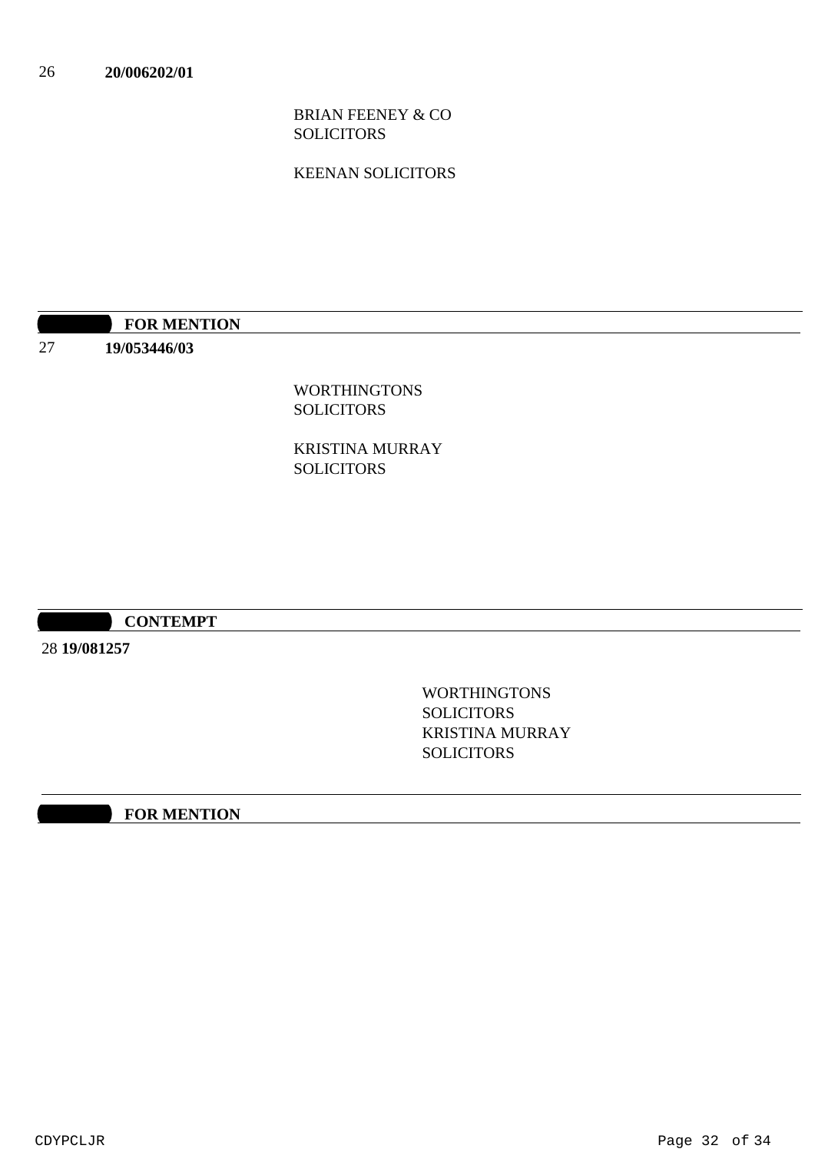BRIAN FEENEY & CO SOLICITORS

KEENAN SOLICITORS

|                          | <b>FOR MENTION</b> |
|--------------------------|--------------------|
| $\sim$<br>$\overline{a}$ | 19/053446/03       |

WORTHINGTONS **SOLICITORS** 

KRISTINA MURRAY SOLICITORS

### **10:30 AM CONTEMPT**

28 **19/081257**

WORTHINGTONS **SOLICITORS** KRISTINA MURRAY **SOLICITORS** 

**10:30 FOR MENTION**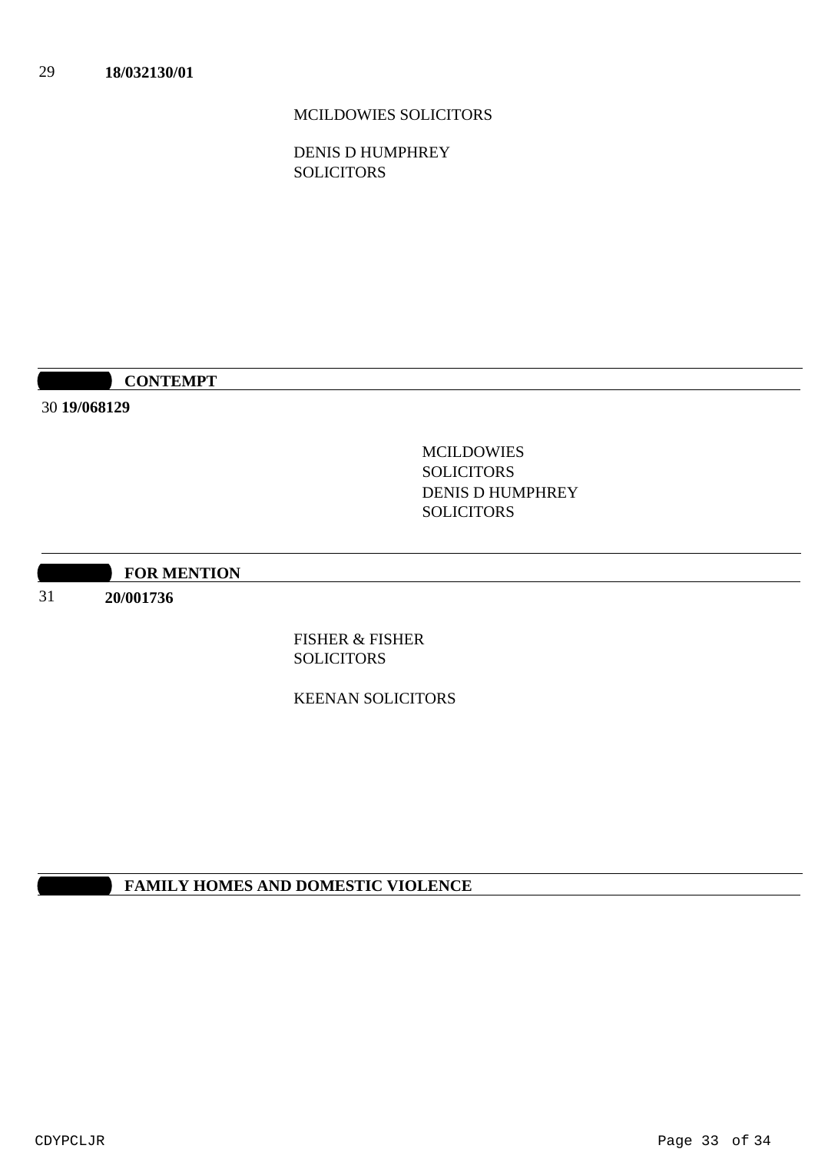MCILDOWIES SOLICITORS

DENIS D HUMPHREY **SOLICITORS** 

**10:30 CONTEMPT** 

30 **19/068129**

MCILDOWIES SOLICITORS DENIS D HUMPHREY **SOLICITORS** 

**10:30 FOR MENTION** 

31 **20/001736**

> FISHER & FISHER **SOLICITORS**

KEENAN SOLICITORS

**FAMILY HOMES AND DOMESTIC VIOLENCE**